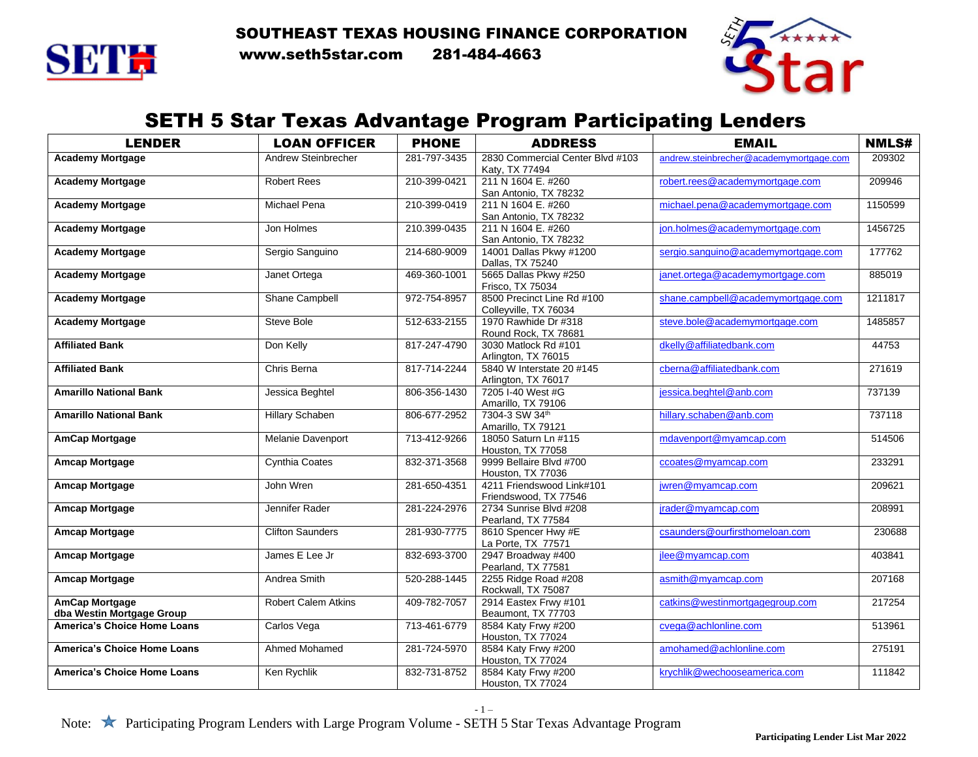



SETTH www.seth5star.com 281-484-4663



#### SETH 5 Star Texas Advantage Program Participating Lenders

| <b>LENDER</b>                                                   | <b>LOAN OFFICER</b>        | <b>PHONE</b> | <b>ADDRESS</b>                                   | <b>EMAIL</b>                            | <b>NMLS#</b> |
|-----------------------------------------------------------------|----------------------------|--------------|--------------------------------------------------|-----------------------------------------|--------------|
| <b>Academy Mortgage</b>                                         | Andrew Steinbrecher        | 281-797-3435 | 2830 Commercial Center Blvd #103                 | andrew.steinbrecher@academymortgage.com | 209302       |
|                                                                 |                            |              | Katv. TX 77494                                   |                                         |              |
| <b>Academy Mortgage</b>                                         | <b>Robert Rees</b>         | 210-399-0421 | 211 N 1604 E. #260                               | robert.rees@academymortgage.com         | 209946       |
|                                                                 |                            |              | San Antonio, TX 78232                            |                                         |              |
| <b>Academy Mortgage</b>                                         | <b>Michael Pena</b>        | 210-399-0419 | 211 N 1604 E. #260                               | michael.pena@academymortgage.com        | 1150599      |
|                                                                 |                            |              | San Antonio, TX 78232                            |                                         |              |
| <b>Academy Mortgage</b>                                         | Jon Holmes                 | 210.399-0435 | 211 N 1604 E. #260                               | jon.holmes@academymortgage.com          | 1456725      |
|                                                                 |                            |              | San Antonio, TX 78232<br>14001 Dallas Pkwy #1200 |                                         | 177762       |
| <b>Academy Mortgage</b>                                         | Sergio Sanguino            | 214-680-9009 | Dallas, TX 75240                                 | sergio.sanguino@academymortgage.com     |              |
| <b>Academy Mortgage</b>                                         | Janet Ortega               | 469-360-1001 | 5665 Dallas Pkwy #250                            | janet.ortega@academymortgage.com        | 885019       |
|                                                                 |                            |              | Frisco, TX 75034                                 |                                         |              |
| <b>Academy Mortgage</b>                                         | Shane Campbell             | 972-754-8957 | 8500 Precinct Line Rd #100                       | shane.campbell@academymortgage.com      | 1211817      |
|                                                                 |                            |              | Colleyville, TX 76034                            |                                         |              |
| <b>Academy Mortgage</b>                                         | Steve Bole                 | 512-633-2155 | 1970 Rawhide Dr #318                             | steve.bole@academymortgage.com          | 1485857      |
|                                                                 |                            |              | Round Rock, TX 78681                             |                                         |              |
| <b>Affiliated Bank</b>                                          | Don Kelly                  | 817-247-4790 | 3030 Matlock Rd #101                             | dkelly@affiliatedbank.com               | 44753        |
|                                                                 |                            |              | Arlington, TX 76015                              |                                         |              |
| <b>Affiliated Bank</b>                                          | Chris Berna                | 817-714-2244 | 5840 W Interstate 20 #145                        | cberna@affiliatedbank.com               | 271619       |
|                                                                 |                            |              | Arlington, TX 76017                              |                                         |              |
| <b>Amarillo National Bank</b>                                   | Jessica Beghtel            | 806-356-1430 | 7205 I-40 West #G                                | jessica.beghtel@anb.com                 | 737139       |
|                                                                 |                            |              | Amarillo, TX 79106                               |                                         |              |
| <b>Amarillo National Bank</b>                                   | <b>Hillary Schaben</b>     | 806-677-2952 | 7304-3 SW 34th                                   | hillary.schaben@anb.com                 | 737118       |
|                                                                 |                            |              | Amarillo, TX 79121<br>18050 Saturn Ln #115       |                                         |              |
| <b>AmCap Mortgage</b>                                           | Melanie Davenport          | 713-412-9266 | Houston, TX 77058                                | mdavenport@myamcap.com                  | 514506       |
| <b>Amcap Mortgage</b>                                           | <b>Cynthia Coates</b>      | 832-371-3568 | 9999 Bellaire Blvd #700                          | ccoates@myamcap.com                     | 233291       |
|                                                                 |                            |              | Houston, TX 77036                                |                                         |              |
| <b>Amcap Mortgage</b>                                           | John Wren                  | 281-650-4351 | 4211 Friendswood Link#101                        | jwren@myamcap.com                       | 209621       |
|                                                                 |                            |              | Friendswood, TX 77546                            |                                         |              |
| <b>Amcap Mortgage</b>                                           | Jennifer Rader             | 281-224-2976 | 2734 Sunrise Blvd #208                           | jrader@myamcap.com                      | 208991       |
|                                                                 |                            |              | Pearland, TX 77584                               |                                         |              |
| <b>Amcap Mortgage</b>                                           | <b>Clifton Saunders</b>    | 281-930-7775 | 8610 Spencer Hwy #E                              | csaunders@ourfirsthomeloan.com          | 230688       |
|                                                                 |                            |              | La Porte, TX 77571                               |                                         |              |
| <b>Amcap Mortgage</b>                                           | James E Lee Jr             | 832-693-3700 | 2947 Broadway #400                               | ilee@myamcap.com                        | 403841       |
|                                                                 |                            |              | Pearland, TX 77581                               |                                         |              |
| <b>Amcap Mortgage</b>                                           | Andrea Smith               | 520-288-1445 | 2255 Ridge Road #208                             | asmith@myamcap.com                      | 207168       |
|                                                                 |                            |              | Rockwall, TX 75087                               |                                         |              |
| <b>AmCap Mortgage</b>                                           | <b>Robert Calem Atkins</b> | 409-782-7057 | 2914 Eastex Frwy #101                            | catkins@westinmortgagegroup.com         | 217254       |
| dba Westin Mortgage Group<br><b>America's Choice Home Loans</b> | Carlos Vega                | 713-461-6779 | Beaumont, TX 77703<br>8584 Katy Frwy #200        | cvega@achlonline.com                    | 513961       |
|                                                                 |                            |              | Houston, TX 77024                                |                                         |              |
| America's Choice Home Loans                                     | Ahmed Mohamed              | 281-724-5970 | 8584 Katy Frwy #200                              | amohamed@achlonline.com                 | 275191       |
|                                                                 |                            |              | Houston, TX 77024                                |                                         |              |
| <b>America's Choice Home Loans</b>                              | Ken Rychlik                | 832-731-8752 | 8584 Katy Frwy #200                              | krychlik@wechooseamerica.com            | 111842       |
|                                                                 |                            |              | Houston, TX 77024                                |                                         |              |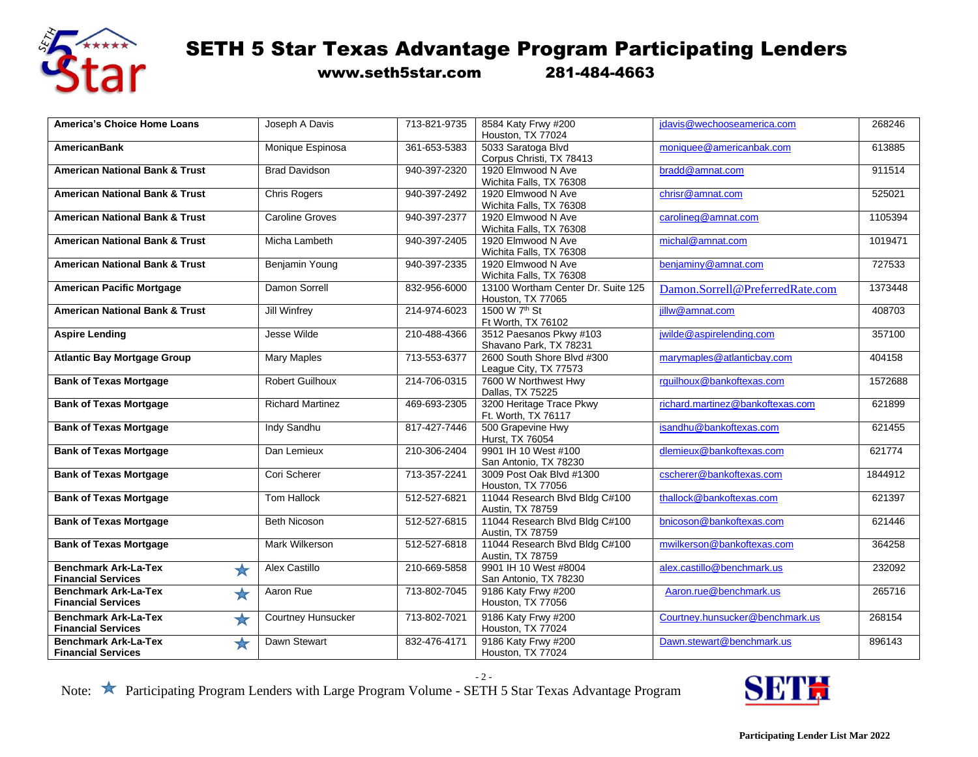

www.seth5star.com 281-484-4663

| <b>America's Choice Home Loans</b>        | Joseph A Davis            | 713-821-9735 | 8584 Katy Frwy #200                | jdavis@wechooseamerica.com       | 268246  |
|-------------------------------------------|---------------------------|--------------|------------------------------------|----------------------------------|---------|
|                                           |                           |              | Houston, TX 77024                  |                                  |         |
| <b>AmericanBank</b>                       | Monique Espinosa          | 361-653-5383 | 5033 Saratoga Blvd                 | moniquee@americanbak.com         | 613885  |
|                                           |                           |              | Corpus Christi, TX 78413           |                                  |         |
| <b>American National Bank &amp; Trust</b> | <b>Brad Davidson</b>      | 940-397-2320 | 1920 Elmwood N Ave                 | bradd@amnat.com                  | 911514  |
|                                           |                           |              | Wichita Falls, TX 76308            |                                  |         |
| <b>American National Bank &amp; Trust</b> | <b>Chris Rogers</b>       | 940-397-2492 | 1920 Elmwood N Ave                 | chrisr@amnat.com                 | 525021  |
|                                           |                           |              | Wichita Falls, TX 76308            |                                  |         |
| <b>American National Bank &amp; Trust</b> | <b>Caroline Groves</b>    | 940-397-2377 | 1920 Elmwood N Ave                 | carolineg@amnat.com              | 1105394 |
|                                           |                           |              | Wichita Falls, TX 76308            |                                  |         |
| <b>American National Bank &amp; Trust</b> | Micha Lambeth             | 940-397-2405 | 1920 Elmwood N Ave                 | michal@amnat.com                 | 1019471 |
|                                           |                           |              | Wichita Falls, TX 76308            |                                  |         |
| <b>American National Bank &amp; Trust</b> | Benjamin Young            | 940-397-2335 | 1920 Elmwood N Ave                 | benjaminy@amnat.com              | 727533  |
|                                           |                           |              | Wichita Falls, TX 76308            |                                  |         |
| <b>American Pacific Mortgage</b>          | Damon Sorrell             | 832-956-6000 | 13100 Wortham Center Dr. Suite 125 | Damon.Sorrell@PreferredRate.com  | 1373448 |
|                                           |                           |              | Houston, TX 77065                  |                                  |         |
| <b>American National Bank &amp; Trust</b> | <b>Jill Winfrey</b>       | 214-974-6023 | 1500 W 7 <sup>th</sup> St          | jillw@amnat.com                  | 408703  |
|                                           |                           |              | Ft Worth, TX 76102                 |                                  |         |
| <b>Aspire Lending</b>                     | Jesse Wilde               | 210-488-4366 | 3512 Paesanos Pkwy #103            | jwilde@aspirelending.com         | 357100  |
|                                           |                           |              | Shavano Park, TX 78231             |                                  |         |
| <b>Atlantic Bay Mortgage Group</b>        | <b>Mary Maples</b>        | 713-553-6377 | 2600 South Shore Blvd #300         | marymaples@atlanticbay.com       | 404158  |
|                                           |                           |              | League City, TX 77573              |                                  |         |
| <b>Bank of Texas Mortgage</b>             | <b>Robert Guilhoux</b>    | 214-706-0315 | 7600 W Northwest Hwy               | rguilhoux@bankoftexas.com        | 1572688 |
|                                           |                           |              | Dallas, TX 75225                   |                                  |         |
| <b>Bank of Texas Mortgage</b>             | <b>Richard Martinez</b>   | 469-693-2305 | 3200 Heritage Trace Pkwy           | richard.martinez@bankoftexas.com | 621899  |
|                                           |                           |              | Ft. Worth, TX 76117                |                                  |         |
| <b>Bank of Texas Mortgage</b>             | Indy Sandhu               | 817-427-7446 | 500 Grapevine Hwy                  | isandhu@bankoftexas.com          | 621455  |
|                                           |                           |              | Hurst, TX 76054                    |                                  |         |
| <b>Bank of Texas Mortgage</b>             | Dan Lemieux               | 210-306-2404 | 9901 IH 10 West #100               | dlemieux@bankoftexas.com         | 621774  |
|                                           |                           |              | San Antonio, TX 78230              |                                  |         |
| <b>Bank of Texas Mortgage</b>             | Cori Scherer              | 713-357-2241 | 3009 Post Oak Blvd #1300           | cscherer@bankoftexas.com         | 1844912 |
|                                           |                           |              | Houston, TX 77056                  |                                  |         |
| <b>Bank of Texas Mortgage</b>             | <b>Tom Hallock</b>        | 512-527-6821 | 11044 Research Blvd Bldg C#100     | thallock@bankoftexas.com         | 621397  |
|                                           |                           |              | Austin, TX 78759                   |                                  |         |
| <b>Bank of Texas Mortgage</b>             | <b>Beth Nicoson</b>       | 512-527-6815 | 11044 Research Blvd Bldg C#100     | bnicoson@bankoftexas.com         | 621446  |
|                                           |                           |              | Austin, TX 78759                   |                                  |         |
| <b>Bank of Texas Mortgage</b>             | <b>Mark Wilkerson</b>     | 512-527-6818 | 11044 Research Blvd Bldg C#100     | mwilkerson@bankoftexas.com       | 364258  |
|                                           |                           |              | Austin, TX 78759                   |                                  |         |
| <b>Benchmark Ark-La-Tex</b>               | Alex Castillo             | 210-669-5858 | 9901 IH 10 West #8004              | alex.castillo@benchmark.us       | 232092  |
| $\bigstar$<br><b>Financial Services</b>   |                           |              | San Antonio, TX 78230              |                                  |         |
| <b>Benchmark Ark-La-Tex</b>               | Aaron Rue                 | 713-802-7045 | 9186 Katy Frwy #200                | Aaron.rue@benchmark.us           | 265716  |
| ★<br><b>Financial Services</b>            |                           |              | Houston, TX 77056                  |                                  |         |
|                                           |                           |              |                                    |                                  |         |
| <b>Benchmark Ark-La-Tex</b><br>$\bigstar$ | <b>Courtney Hunsucker</b> | 713-802-7021 | 9186 Katy Frwy #200                | Courtney.hunsucker@benchmark.us  | 268154  |
| <b>Financial Services</b>                 |                           |              | Houston, TX 77024                  |                                  |         |
| <b>Benchmark Ark-La-Tex</b><br>$\bigstar$ | Dawn Stewart              | 832-476-4171 | 9186 Katy Frwy #200                | Dawn.stewart@benchmark.us        | 896143  |
| <b>Financial Services</b>                 |                           |              | Houston, TX 77024                  |                                  |         |

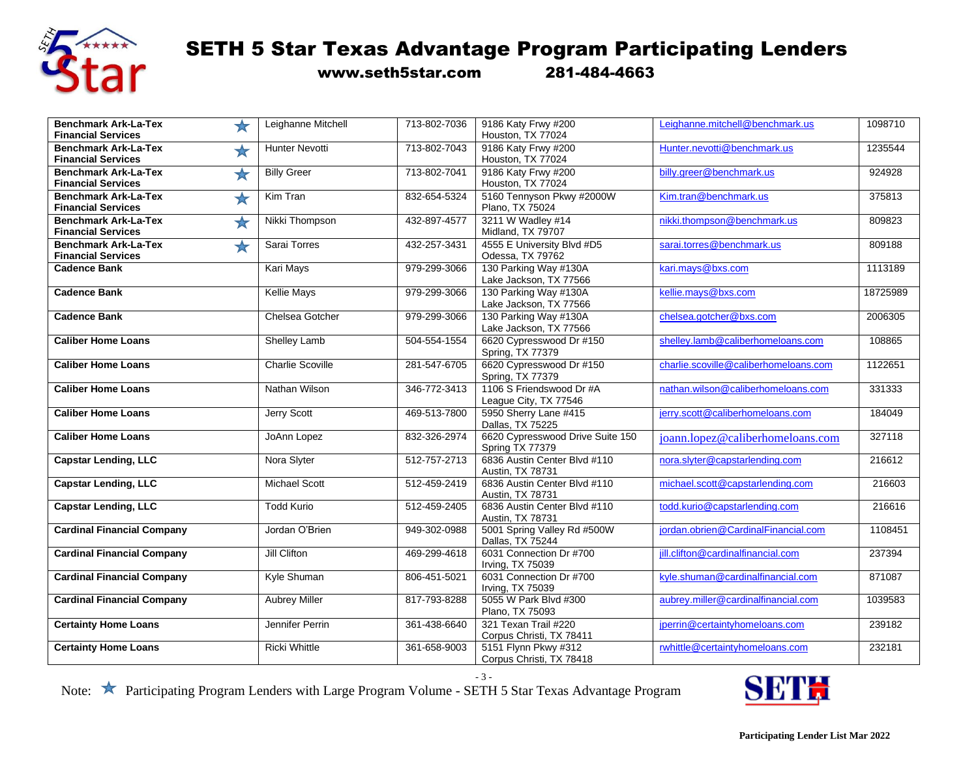

www.seth5star.com 281-484-4663

| <b>Benchmark Ark-La-Tex</b>                              | Leighanne Mitchell<br>$\star$       | 713-802-7036 | 9186 Katy Frwy #200                                 | Leighanne.mitchell@benchmark.us       | 1098710  |
|----------------------------------------------------------|-------------------------------------|--------------|-----------------------------------------------------|---------------------------------------|----------|
| <b>Financial Services</b>                                |                                     |              | Houston, TX 77024                                   |                                       |          |
| <b>Benchmark Ark-La-Tex</b><br><b>Financial Services</b> | <b>Hunter Nevotti</b><br>$\bigstar$ | 713-802-7043 | 9186 Katy Frwy #200<br>Houston, TX 77024            | Hunter.nevotti@benchmark.us           | 1235544  |
| <b>Benchmark Ark-La-Tex</b><br><b>Financial Services</b> | <b>Billy Greer</b><br>$\bigstar$    | 713-802-7041 | 9186 Katy Frwy #200<br>Houston, TX 77024            | billy.greer@benchmark.us              | 924928   |
| <b>Benchmark Ark-La-Tex</b>                              | Kim Tran<br>$\bigstar$              | 832-654-5324 | 5160 Tennyson Pkwy #2000W                           | Kim.tran@benchmark.us                 | 375813   |
| <b>Financial Services</b>                                |                                     |              | Plano, TX 75024                                     |                                       |          |
| <b>Benchmark Ark-La-Tex</b><br><b>Financial Services</b> | Nikki Thompson<br>$\bigstar$        | 432-897-4577 | 3211 W Wadley #14<br>Midland, TX 79707              | nikki.thompson@benchmark.us           | 809823   |
| <b>Benchmark Ark-La-Tex</b><br><b>Financial Services</b> | $\bigstar$<br>Sarai Torres          | 432-257-3431 | 4555 E University Blvd #D5<br>Odessa, TX 79762      | sarai.torres@benchmark.us             | 809188   |
| <b>Cadence Bank</b>                                      | <b>Kari Mays</b>                    | 979-299-3066 | 130 Parking Way #130A                               | kari.mays@bxs.com                     | 1113189  |
|                                                          |                                     |              | Lake Jackson, TX 77566                              |                                       |          |
| <b>Cadence Bank</b>                                      | <b>Kellie Mays</b>                  | 979-299-3066 | 130 Parking Way #130A<br>Lake Jackson, TX 77566     | kellie.mays@bxs.com                   | 18725989 |
| <b>Cadence Bank</b>                                      | Chelsea Gotcher                     | 979-299-3066 | 130 Parking Way #130A                               | chelsea.gotcher@bxs.com               | 2006305  |
|                                                          |                                     |              | Lake Jackson, TX 77566                              |                                       |          |
| <b>Caliber Home Loans</b>                                | Shelley Lamb                        | 504-554-1554 | 6620 Cypresswood Dr #150<br>Spring, TX 77379        | shelley.lamb@caliberhomeloans.com     | 108865   |
| <b>Caliber Home Loans</b>                                | <b>Charlie Scoville</b>             | 281-547-6705 | 6620 Cypresswood Dr #150<br>Spring, TX 77379        | charlie.scoville@caliberhomeloans.com | 1122651  |
| <b>Caliber Home Loans</b>                                | Nathan Wilson                       | 346-772-3413 | 1106 S Friendswood Dr #A<br>League City, TX 77546   | nathan.wilson@caliberhomeloans.com    | 331333   |
| <b>Caliber Home Loans</b>                                | <b>Jerry Scott</b>                  | 469-513-7800 | 5950 Sherry Lane #415<br>Dallas, TX 75225           | jerry.scott@caliberhomeloans.com      | 184049   |
| <b>Caliber Home Loans</b>                                | JoAnn Lopez                         | 832-326-2974 | 6620 Cypresswood Drive Suite 150<br>Spring TX 77379 | joann.lopez@caliberhomeloans.com      | 327118   |
| <b>Capstar Lending, LLC</b>                              | Nora Slyter                         | 512-757-2713 | 6836 Austin Center Blvd #110<br>Austin, TX 78731    | nora.slyter@capstarlending.com        | 216612   |
| <b>Capstar Lending, LLC</b>                              | <b>Michael Scott</b>                | 512-459-2419 | 6836 Austin Center Blvd #110<br>Austin, TX 78731    | michael.scott@capstarlending.com      | 216603   |
| <b>Capstar Lending, LLC</b>                              | <b>Todd Kurio</b>                   | 512-459-2405 | 6836 Austin Center Blvd #110<br>Austin, TX 78731    | todd.kurio@capstarlending.com         | 216616   |
| <b>Cardinal Financial Company</b>                        | Jordan O'Brien                      | 949-302-0988 | 5001 Spring Valley Rd #500W<br>Dallas, TX 75244     | iordan.obrien@CardinalFinancial.com   | 1108451  |
| <b>Cardinal Financial Company</b>                        | Jill Clifton                        | 469-299-4618 | 6031 Connection Dr #700<br>Irving, TX 75039         | jill.clifton@cardinalfinancial.com    | 237394   |
| <b>Cardinal Financial Company</b>                        | Kyle Shuman                         | 806-451-5021 | 6031 Connection Dr #700<br>Irving, TX 75039         | kyle.shuman@cardinalfinancial.com     | 871087   |
| <b>Cardinal Financial Company</b>                        | <b>Aubrey Miller</b>                | 817-793-8288 | 5055 W Park Blvd #300<br>Plano, TX 75093            | aubrey.miller@cardinalfinancial.com   | 1039583  |
| <b>Certainty Home Loans</b>                              | Jennifer Perrin                     | 361-438-6640 | 321 Texan Trail #220<br>Corpus Christi, TX 78411    | jperrin@certaintyhomeloans.com        | 239182   |
| <b>Certainty Home Loans</b>                              | <b>Ricki Whittle</b>                | 361-658-9003 | 5151 Flynn Pkwy #312<br>Corpus Christi, TX 78418    | rwhittle@certaintyhomeloans.com       | 232181   |

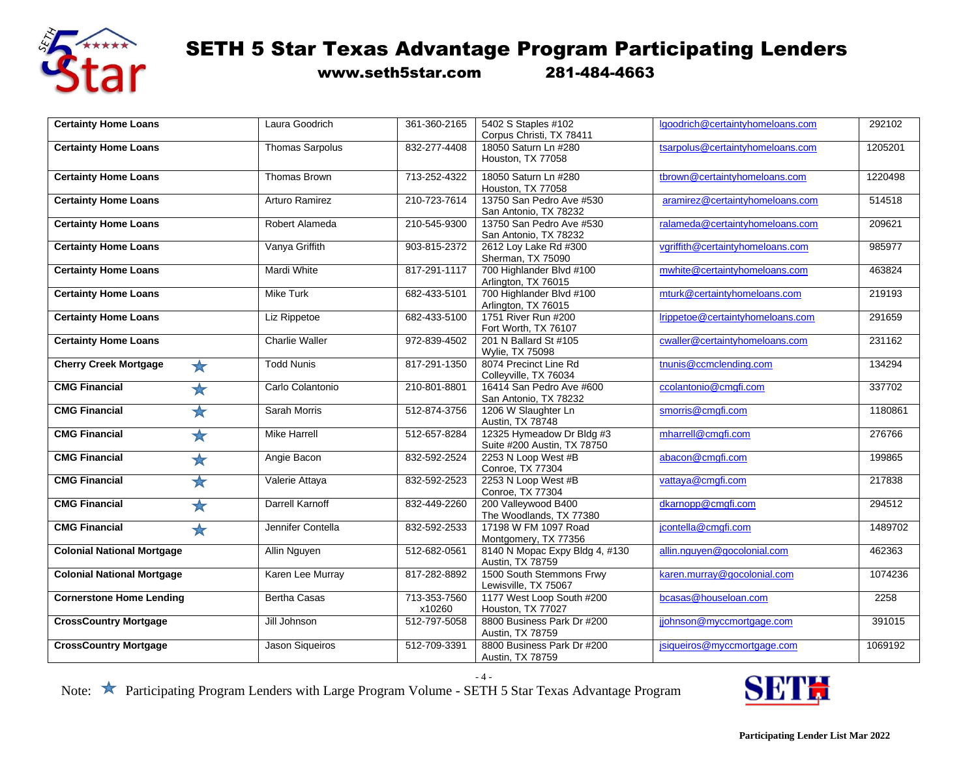

www.seth5star.com 281-484-4663

| <b>Certainty Home Loans</b>                | Laura Goodrich         | 361-360-2165           | 5402 S Staples #102                                      | Igoodrich@certaintyhomeloans.com | 292102  |
|--------------------------------------------|------------------------|------------------------|----------------------------------------------------------|----------------------------------|---------|
|                                            |                        |                        | Corpus Christi, TX 78411                                 |                                  |         |
| <b>Certainty Home Loans</b>                | <b>Thomas Sarpolus</b> | 832-277-4408           | 18050 Saturn Ln #280<br>Houston, TX 77058                | tsarpolus@certaintyhomeloans.com | 1205201 |
| <b>Certainty Home Loans</b>                | Thomas Brown           | 713-252-4322           | 18050 Saturn Ln #280<br>Houston, TX 77058                | tbrown@certaintyhomeloans.com    | 1220498 |
| <b>Certainty Home Loans</b>                | <b>Arturo Ramirez</b>  | 210-723-7614           | 13750 San Pedro Ave #530<br>San Antonio, TX 78232        | aramirez@certaintyhomeloans.com  | 514518  |
| <b>Certainty Home Loans</b>                | Robert Alameda         | 210-545-9300           | 13750 San Pedro Ave #530<br>San Antonio, TX 78232        | ralameda@certaintyhomeloans.com  | 209621  |
| <b>Certainty Home Loans</b>                | Vanya Griffith         | 903-815-2372           | 2612 Loy Lake Rd #300<br>Sherman, TX 75090               | vgriffith@certaintyhomeloans.com | 985977  |
| <b>Certainty Home Loans</b>                | Mardi White            | 817-291-1117           | 700 Highlander Blvd #100<br>Arlington, TX 76015          | mwhite@certaintyhomeloans.com    | 463824  |
| <b>Certainty Home Loans</b>                | <b>Mike Turk</b>       | 682-433-5101           | 700 Highlander Blvd #100<br>Arlington, TX 76015          | mturk@certaintyhomeloans.com     | 219193  |
| <b>Certainty Home Loans</b>                | Liz Rippetoe           | 682-433-5100           | 1751 River Run #200<br>Fort Worth, TX 76107              | Irippetoe@certaintyhomeloans.com | 291659  |
| <b>Certainty Home Loans</b>                | <b>Charlie Waller</b>  | 972-839-4502           | 201 N Ballard St #105<br><b>Wylie, TX 75098</b>          | cwaller@certaintyhomeloans.com   | 231162  |
| <b>Cherry Creek Mortgage</b><br>$\bigstar$ | <b>Todd Nunis</b>      | 817-291-1350           | 8074 Precinct Line Rd<br>Colleyville, TX 76034           | tnunis@ccmclending.com           | 134294  |
| <b>CMG Financial</b><br>$\bigstar$         | Carlo Colantonio       | 210-801-8801           | 16414 San Pedro Ave #600<br>San Antonio, TX 78232        | ccolantonio@cmgfi.com            | 337702  |
| <b>CMG Financial</b><br>$\bigstar$         | Sarah Morris           | 512-874-3756           | 1206 W Slaughter Ln<br>Austin, TX 78748                  | smorris@cmgfi.com                | 1180861 |
| <b>CMG Financial</b><br>$\star$            | <b>Mike Harrell</b>    | 512-657-8284           | 12325 Hymeadow Dr Bldg #3<br>Suite #200 Austin, TX 78750 | mharrell@cmgfi.com               | 276766  |
| <b>CMG Financial</b><br>$\bigstar$         | Angie Bacon            | 832-592-2524           | 2253 N Loop West #B<br><b>Conroe, TX 77304</b>           | abacon@cmgfi.com                 | 199865  |
| ☆<br><b>CMG Financial</b>                  | Valerie Attaya         | 832-592-2523           | 2253 N Loop West #B<br><b>Conroe, TX 77304</b>           | vattaya@cmgfi.com                | 217838  |
| <b>CMG Financial</b><br>$\bigstar$         | Darrell Karnoff        | 832-449-2260           | 200 Valleywood B400<br>The Woodlands, TX 77380           | dkarnopp@cmgfi.com               | 294512  |
| <b>CMG Financial</b><br>$\bigstar$         | Jennifer Contella      | 832-592-2533           | 17198 W FM 1097 Road<br>Montgomery, TX 77356             | jcontella@cmgfi.com              | 1489702 |
| <b>Colonial National Mortgage</b>          | Allin Nguyen           | 512-682-0561           | 8140 N Mopac Expy Bldg 4, #130<br>Austin, TX 78759       | allin.nguyen@gocolonial.com      | 462363  |
| <b>Colonial National Mortgage</b>          | Karen Lee Murray       | 817-282-8892           | 1500 South Stemmons Frwy<br>Lewisville, TX 75067         | karen.murray@gocolonial.com      | 1074236 |
| <b>Cornerstone Home Lending</b>            | <b>Bertha Casas</b>    | 713-353-7560<br>x10260 | 1177 West Loop South #200<br>Houston, TX 77027           | bcasas@houseloan.com             | 2258    |
| <b>CrossCountry Mortgage</b>               | Jill Johnson           | 512-797-5058           | 8800 Business Park Dr #200<br>Austin, TX 78759           | jjohnson@myccmortgage.com        | 391015  |
| <b>CrossCountry Mortgage</b>               | Jason Sigueiros        | 512-709-3391           | 8800 Business Park Dr #200<br>Austin, TX 78759           | jsiqueiros@myccmortgage.com      | 1069192 |

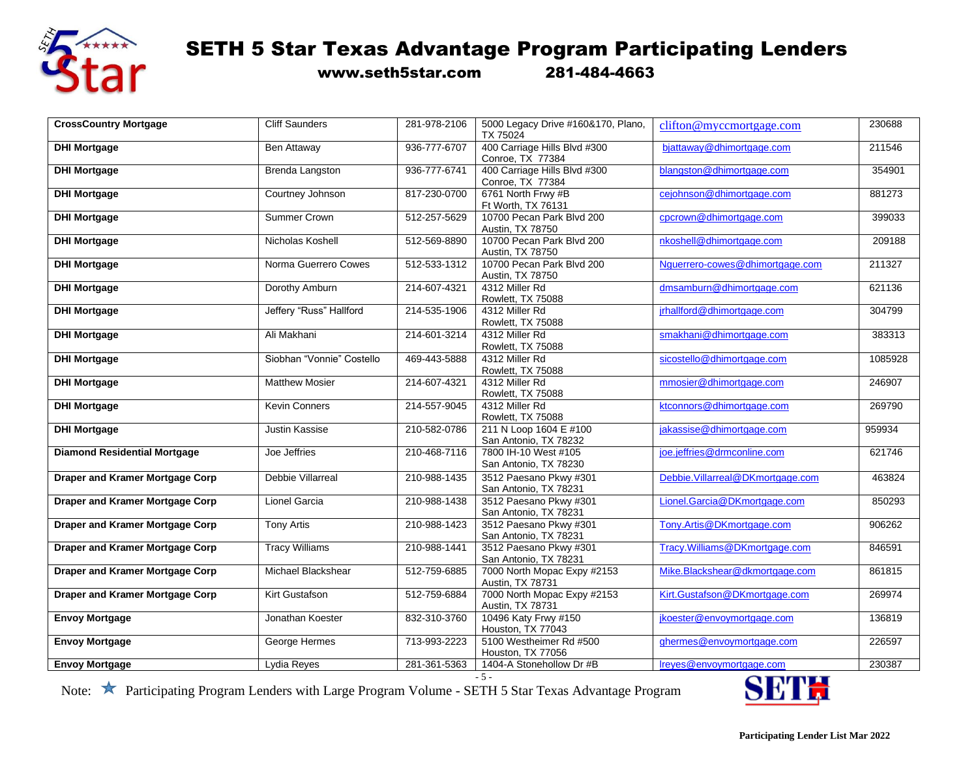

www.seth5star.com 281-484-4663

| <b>CrossCountry Mortgage</b>           | <b>Cliff Saunders</b>     | 281-978-2106 | 5000 Legacy Drive #160&170, Plano,<br>TX 75024       | clifton@myccmortgage.com         | 230688  |
|----------------------------------------|---------------------------|--------------|------------------------------------------------------|----------------------------------|---------|
| <b>DHI Mortgage</b>                    | Ben Attaway               | 936-777-6707 | 400 Carriage Hills Blvd #300                         | bjattaway@dhimortgage.com        | 211546  |
| <b>DHI Mortgage</b>                    | Brenda Langston           | 936-777-6741 | Conroe, TX 77384<br>400 Carriage Hills Blvd #300     | blangston@dhimortgage.com        | 354901  |
|                                        |                           |              | Conroe, TX 77384                                     |                                  |         |
| <b>DHI Mortgage</b>                    | Courtney Johnson          | 817-230-0700 | 6761 North Frwy #B                                   | cejohnson@dhimortgage.com        | 881273  |
|                                        |                           |              | Ft Worth, TX 76131                                   |                                  |         |
| <b>DHI Mortgage</b>                    | Summer Crown              | 512-257-5629 | 10700 Pecan Park Blvd 200<br>Austin, TX 78750        | cpcrown@dhimortgage.com          | 399033  |
| <b>DHI Mortgage</b>                    | Nicholas Koshell          | 512-569-8890 | 10700 Pecan Park Blvd 200                            | nkoshell@dhimortgage.com         | 209188  |
|                                        |                           |              | Austin, TX 78750                                     |                                  |         |
| <b>DHI Mortgage</b>                    | Norma Guerrero Cowes      | 512-533-1312 | 10700 Pecan Park Blvd 200                            | Nguerrero-cowes@dhimortgage.com  | 211327  |
|                                        |                           |              | Austin, TX 78750                                     |                                  |         |
| <b>DHI Mortgage</b>                    | Dorothy Amburn            | 214-607-4321 | 4312 Miller Rd                                       | dmsamburn@dhimortgage.com        | 621136  |
|                                        |                           |              | Rowlett, TX 75088                                    |                                  |         |
| <b>DHI Mortgage</b>                    | Jeffery "Russ" Hallford   | 214-535-1906 | 4312 Miller Rd                                       | jrhallford@dhimortgage.com       | 304799  |
| <b>DHI Mortgage</b>                    | Ali Makhani               | 214-601-3214 | Rowlett, TX 75088<br>4312 Miller Rd                  | smakhani@dhimortgage.com         | 383313  |
|                                        |                           |              | Rowlett, TX 75088                                    |                                  |         |
| <b>DHI Mortgage</b>                    | Siobhan "Vonnie" Costello | 469-443-5888 | 4312 Miller Rd                                       | sicostello@dhimortgage.com       | 1085928 |
|                                        |                           |              | Rowlett, TX 75088                                    |                                  |         |
| <b>DHI Mortgage</b>                    | <b>Matthew Mosier</b>     | 214-607-4321 | 4312 Miller Rd                                       | mmosier@dhimortgage.com          | 246907  |
|                                        |                           |              | Rowlett, TX 75088                                    |                                  |         |
| <b>DHI Mortgage</b>                    | <b>Kevin Conners</b>      | 214-557-9045 | 4312 Miller Rd                                       | ktconnors@dhimortgage.com        | 269790  |
|                                        |                           |              | <b>Rowlett, TX 75088</b>                             |                                  |         |
| <b>DHI Mortgage</b>                    | <b>Justin Kassise</b>     | 210-582-0786 | 211 N Loop 1604 E #100                               | jakassise@dhimortgage.com        | 959934  |
| <b>Diamond Residential Mortgage</b>    | Joe Jeffries              | 210-468-7116 | San Antonio, TX 78232<br>7800 IH-10 West #105        | joe.jeffries@drmconline.com      | 621746  |
|                                        |                           |              | San Antonio, TX 78230                                |                                  |         |
| Draper and Kramer Mortgage Corp        | Debbie Villarreal         | 210-988-1435 | 3512 Paesano Pkwy #301                               | Debbie.Villarreal@DKmortgage.com | 463824  |
|                                        |                           |              | San Antonio, TX 78231                                |                                  |         |
| <b>Draper and Kramer Mortgage Corp</b> | Lionel Garcia             | 210-988-1438 | 3512 Paesano Pkwy #301                               | Lionel.Garcia@DKmortgage.com     | 850293  |
|                                        |                           |              | San Antonio, TX 78231                                |                                  |         |
| <b>Draper and Kramer Mortgage Corp</b> | <b>Tony Artis</b>         | 210-988-1423 | 3512 Paesano Pkwy #301                               | Tony.Artis@DKmortgage.com        | 906262  |
|                                        |                           |              | San Antonio, TX 78231                                |                                  |         |
| <b>Draper and Kramer Mortgage Corp</b> | <b>Tracy Williams</b>     | 210-988-1441 | 3512 Paesano Pkwy #301                               | Tracy.Williams@DKmortgage.com    | 846591  |
| <b>Draper and Kramer Mortgage Corp</b> | Michael Blackshear        | 512-759-6885 | San Antonio, TX 78231<br>7000 North Mopac Expy #2153 | Mike.Blackshear@dkmortgage.com   | 861815  |
|                                        |                           |              | Austin, TX 78731                                     |                                  |         |
| Draper and Kramer Mortgage Corp        | Kirt Gustafson            | 512-759-6884 | 7000 North Mopac Expy #2153                          | Kirt.Gustafson@DKmortgage.com    | 269974  |
|                                        |                           |              | Austin, TX 78731                                     |                                  |         |
| <b>Envoy Mortgage</b>                  | Jonathan Koester          | 832-310-3760 | 10496 Katy Frwy #150                                 | jkoester@envoymortgage.com       | 136819  |
|                                        |                           |              | Houston, TX 77043                                    |                                  |         |
| <b>Envoy Mortgage</b>                  | George Hermes             | 713-993-2223 | 5100 Westheimer Rd #500                              | ghermes@envoymortgage.com        | 226597  |
|                                        |                           | 281-361-5363 | Houston, TX 77056<br>1404-A Stonehollow Dr #B        | Ireyes@envoymortgage.com         | 230387  |
| <b>Envoy Mortgage</b>                  | Lydia Reyes               |              |                                                      |                                  |         |

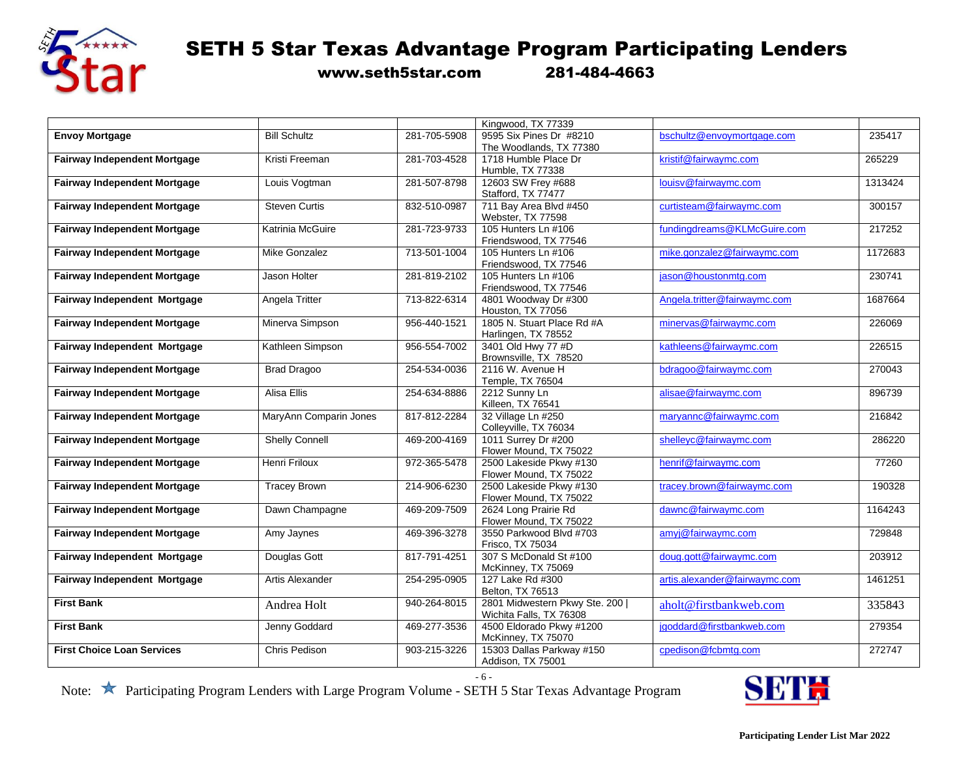

www.seth5star.com 281-484-4663

|                                     |                        |              | Kingwood, TX 77339            |                               |         |
|-------------------------------------|------------------------|--------------|-------------------------------|-------------------------------|---------|
| <b>Envoy Mortgage</b>               | <b>Bill Schultz</b>    | 281-705-5908 | 9595 Six Pines Dr #8210       | bschultz@envoymortgage.com    | 235417  |
|                                     |                        |              | The Woodlands, TX 77380       |                               |         |
| <b>Fairway Independent Mortgage</b> | Kristi Freeman         | 281-703-4528 | 1718 Humble Place Dr          | kristif@fairwaymc.com         | 265229  |
|                                     |                        |              | Humble, TX 77338              |                               |         |
| <b>Fairway Independent Mortgage</b> | Louis Vogtman          | 281-507-8798 | 12603 SW Frey #688            | louisv@fairwaymc.com          | 1313424 |
|                                     |                        |              | Stafford, TX 77477            |                               |         |
| <b>Fairway Independent Mortgage</b> | <b>Steven Curtis</b>   | 832-510-0987 | 711 Bay Area Blvd #450        | curtisteam@fairwaymc.com      | 300157  |
|                                     |                        |              | Webster, TX 77598             |                               |         |
| <b>Fairway Independent Mortgage</b> | Katrinia McGuire       | 281-723-9733 | 105 Hunters Ln #106           | fundingdreams@KLMcGuire.com   | 217252  |
|                                     |                        |              | Friendswood, TX 77546         |                               |         |
| <b>Fairway Independent Mortgage</b> | Mike Gonzalez          | 713-501-1004 | 105 Hunters Ln #106           | mike.gonzalez@fairwaymc.com   | 1172683 |
|                                     |                        |              | Friendswood, TX 77546         |                               |         |
| <b>Fairway Independent Mortgage</b> | Jason Holter           | 281-819-2102 | 105 Hunters Ln #106           | jason@houstonmtg.com          | 230741  |
|                                     |                        |              | Friendswood, TX 77546         |                               |         |
| Fairway Independent Mortgage        | Angela Tritter         | 713-822-6314 | 4801 Woodway Dr #300          | Angela.tritter@fairwaymc.com  | 1687664 |
|                                     |                        |              | Houston, TX 77056             |                               |         |
| <b>Fairway Independent Mortgage</b> | Minerva Simpson        | 956-440-1521 | 1805 N. Stuart Place Rd #A    | minervas@fairwaymc.com        | 226069  |
|                                     |                        |              | Harlingen, TX 78552           |                               |         |
| Fairway Independent Mortgage        | Kathleen Simpson       | 956-554-7002 | 3401 Old Hwy 77 #D            | kathleens@fairwaymc.com       | 226515  |
|                                     |                        |              | Brownsville, TX 78520         |                               |         |
| <b>Fairway Independent Mortgage</b> | <b>Brad Dragoo</b>     | 254-534-0036 | 2116 W. Avenue H              | bdragoo@fairwaymc.com         | 270043  |
|                                     |                        |              | Temple, TX 76504              |                               |         |
| <b>Fairway Independent Mortgage</b> | Alisa Ellis            | 254-634-8886 | 2212 Sunny Ln                 | alisae@fairwaymc.com          | 896739  |
|                                     |                        |              | Killeen, TX 76541             |                               |         |
| <b>Fairway Independent Mortgage</b> | MaryAnn Comparin Jones | 817-812-2284 | 32 Village Ln #250            | maryannc@fairwaymc.com        | 216842  |
|                                     |                        |              | Colleyville, TX 76034         |                               |         |
| <b>Fairway Independent Mortgage</b> | <b>Shelly Connell</b>  | 469-200-4169 | 1011 Surrey Dr #200           | shelleyc@fairwaymc.com        | 286220  |
|                                     |                        |              | Flower Mound, TX 75022        |                               |         |
| <b>Fairway Independent Mortgage</b> | Henri Friloux          | 972-365-5478 | 2500 Lakeside Pkwy #130       | henrif@fairwaymc.com          | 77260   |
|                                     |                        |              | Flower Mound, TX 75022        |                               |         |
| <b>Fairway Independent Mortgage</b> | <b>Tracey Brown</b>    | 214-906-6230 | 2500 Lakeside Pkwy #130       | tracey.brown@fairwaymc.com    | 190328  |
|                                     |                        |              | Flower Mound, TX 75022        |                               |         |
| <b>Fairway Independent Mortgage</b> | Dawn Champagne         | 469-209-7509 | 2624 Long Prairie Rd          | dawnc@fairwaymc.com           | 1164243 |
|                                     |                        |              | Flower Mound, TX 75022        |                               |         |
| <b>Fairway Independent Mortgage</b> | Amy Jaynes             | 469-396-3278 | 3550 Parkwood Blvd #703       | amyj@fairwaymc.com            | 729848  |
|                                     |                        |              | Frisco, TX 75034              |                               |         |
| <b>Fairway Independent Mortgage</b> | Douglas Gott           | 817-791-4251 | 307 S McDonald St #100        | doug.gott@fairwaymc.com       | 203912  |
|                                     |                        |              | McKinney, TX 75069            |                               |         |
| Fairway Independent Mortgage        | Artis Alexander        | 254-295-0905 | 127 Lake Rd #300              | artis.alexander@fairwaymc.com | 1461251 |
|                                     |                        |              | Belton, TX 76513              |                               |         |
| <b>First Bank</b>                   | Andrea Holt            | 940-264-8015 | 2801 Midwestern Pkwy Ste. 200 | aholt@firstbankweb.com        | 335843  |
|                                     |                        |              | Wichita Falls, TX 76308       |                               |         |
| <b>First Bank</b>                   | Jenny Goddard          | 469-277-3536 | 4500 Eldorado Pkwy #1200      | jgoddard@firstbankweb.com     | 279354  |
|                                     |                        |              | McKinney, TX 75070            |                               |         |
| <b>First Choice Loan Services</b>   | Chris Pedison          | 903-215-3226 | 15303 Dallas Parkway #150     | cpedison@fcbmtg.com           | 272747  |
|                                     |                        |              | Addison, TX 75001             |                               |         |

- 6 -

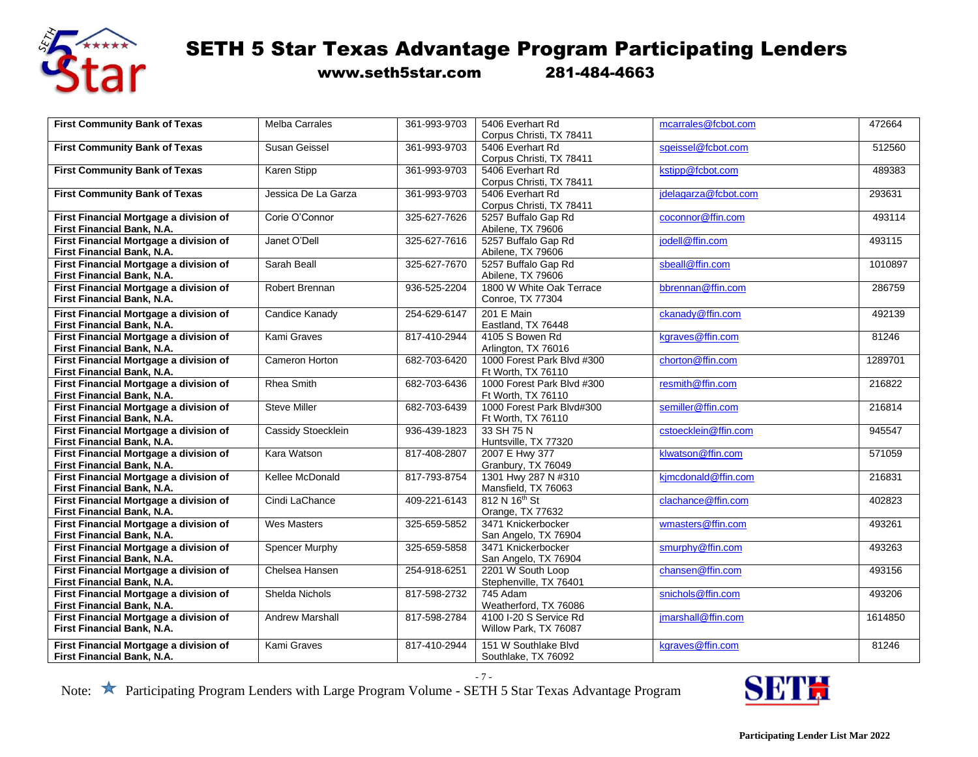

## $\overbrace{ }$  SETH 5 Star Texas Advantage Program Participating Lenders

www.seth5star.com 281-484-4663

| <b>First Community Bank of Texas</b>                                 | <b>Melba Carrales</b>  | 361-993-9703 | 5406 Everhart Rd                          | mcarrales@fcbot.com  | 472664  |
|----------------------------------------------------------------------|------------------------|--------------|-------------------------------------------|----------------------|---------|
|                                                                      |                        |              | Corpus Christi, TX 78411                  |                      |         |
| <b>First Community Bank of Texas</b>                                 | <b>Susan Geissel</b>   | 361-993-9703 | 5406 Everhart Rd                          | sgeissel@fcbot.com   | 512560  |
|                                                                      |                        |              | Corpus Christi, TX 78411                  |                      |         |
| <b>First Community Bank of Texas</b>                                 | Karen Stipp            | 361-993-9703 | 5406 Everhart Rd                          | kstipp@fcbot.com     | 489383  |
|                                                                      |                        |              | Corpus Christi, TX 78411                  |                      |         |
| <b>First Community Bank of Texas</b>                                 | Jessica De La Garza    | 361-993-9703 | 5406 Everhart Rd                          | jdelagarza@fcbot.com | 293631  |
|                                                                      |                        |              | Corpus Christi, TX 78411                  |                      |         |
| First Financial Mortgage a division of                               | Corie O'Connor         | 325-627-7626 | 5257 Buffalo Gap Rd                       | coconnor@ffin.com    | 493114  |
| First Financial Bank, N.A.                                           |                        |              | Abilene, TX 79606                         |                      |         |
| First Financial Mortgage a division of                               | Janet O'Dell           | 325-627-7616 | 5257 Buffalo Gap Rd                       | jodell@ffin.com      | 493115  |
| First Financial Bank, N.A.                                           |                        |              | Abilene, TX 79606                         |                      |         |
| First Financial Mortgage a division of                               | Sarah Beall            | 325-627-7670 | 5257 Buffalo Gap Rd                       | sbeall@ffin.com      | 1010897 |
| <b>First Financial Bank, N.A.</b>                                    |                        |              | Abilene, TX 79606                         |                      |         |
| First Financial Mortgage a division of                               | Robert Brennan         | 936-525-2204 | 1800 W White Oak Terrace                  | bbrennan@ffin.com    | 286759  |
| First Financial Bank, N.A.                                           |                        |              | <b>Conroe, TX 77304</b>                   |                      |         |
| First Financial Mortgage a division of                               | <b>Candice Kanady</b>  | 254-629-6147 | 201 E Main                                | ckanady@ffin.com     | 492139  |
| First Financial Bank, N.A.                                           |                        |              | Eastland, TX 76448                        |                      |         |
| First Financial Mortgage a division of                               | Kami Graves            | 817-410-2944 | 4105 S Bowen Rd                           | kgraves@ffin.com     | 81246   |
| First Financial Bank, N.A.                                           |                        |              | Arlington, TX 76016                       |                      |         |
| First Financial Mortgage a division of                               | Cameron Horton         | 682-703-6420 | 1000 Forest Park Blvd #300                | chorton@ffin.com     | 1289701 |
| First Financial Bank, N.A.                                           |                        |              | Ft Worth, TX 76110                        |                      |         |
| First Financial Mortgage a division of                               | Rhea Smith             | 682-703-6436 | 1000 Forest Park Blvd #300                | resmith@ffin.com     | 216822  |
| <b>First Financial Bank, N.A.</b>                                    |                        |              | Ft Worth, TX 76110                        |                      |         |
| First Financial Mortgage a division of                               | <b>Steve Miller</b>    | 682-703-6439 | 1000 Forest Park Blvd#300                 | semiller@ffin.com    | 216814  |
| First Financial Bank, N.A.                                           |                        |              | Ft Worth, TX 76110                        |                      |         |
| First Financial Mortgage a division of                               | Cassidy Stoecklein     | 936-439-1823 | 33 SH 75 N                                | cstoecklein@ffin.com | 945547  |
| First Financial Bank, N.A.                                           |                        |              | Huntsville, TX 77320                      |                      |         |
| First Financial Mortgage a division of                               | Kara Watson            | 817-408-2807 | 2007 E Hwy 377                            | klwatson@ffin.com    | 571059  |
| First Financial Bank, N.A.                                           |                        |              | Granbury, TX 76049                        |                      |         |
| First Financial Mortgage a division of                               | Kellee McDonald        | 817-793-8754 | 1301 Hwy 287 N #310                       | kjmcdonald@ffin.com  | 216831  |
| First Financial Bank, N.A.                                           |                        |              | Mansfield, TX 76063                       |                      |         |
| First Financial Mortgage a division of                               | Cindi LaChance         | 409-221-6143 | 812 N 16 <sup>th</sup> St                 | clachance@ffin.com   | 402823  |
| First Financial Bank, N.A.                                           |                        |              | Orange, TX 77632                          |                      |         |
| First Financial Mortgage a division of                               | <b>Wes Masters</b>     | 325-659-5852 | 3471 Knickerbocker                        | wmasters@ffin.com    | 493261  |
| First Financial Bank, N.A.                                           |                        |              | San Angelo, TX 76904                      |                      |         |
| First Financial Mortgage a division of                               | Spencer Murphy         | 325-659-5858 | 3471 Knickerbocker                        | smurphy@ffin.com     | 493263  |
| First Financial Bank, N.A.                                           | Chelsea Hansen         | 254-918-6251 | San Angelo, TX 76904<br>2201 W South Loop | chansen@ffin.com     |         |
| First Financial Mortgage a division of<br>First Financial Bank, N.A. |                        |              |                                           |                      | 493156  |
| First Financial Mortgage a division of                               | Shelda Nichols         | 817-598-2732 | Stephenville, TX 76401<br>745 Adam        | snichols@ffin.com    | 493206  |
| First Financial Bank, N.A.                                           |                        |              | Weatherford, TX 76086                     |                      |         |
| First Financial Mortgage a division of                               | <b>Andrew Marshall</b> | 817-598-2784 | 4100 I-20 S Service Rd                    | imarshall@ffin.com   | 1614850 |
| First Financial Bank, N.A.                                           |                        |              | Willow Park, TX 76087                     |                      |         |
|                                                                      |                        |              |                                           |                      |         |
| First Financial Mortgage a division of                               | Kami Graves            | 817-410-2944 | 151 W Southlake Blvd                      | kgraves@ffin.com     | 81246   |
| First Financial Bank, N.A.                                           |                        |              | Southlake, TX 76092                       |                      |         |

- 7 -

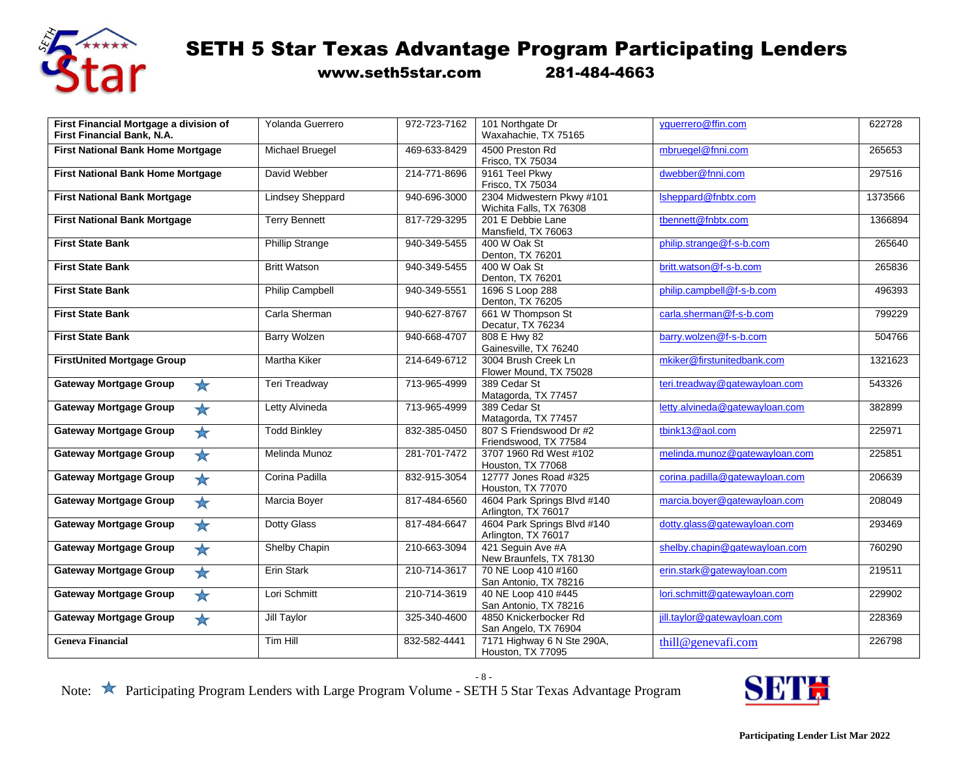

www.seth5star.com 281-484-4663

| First Financial Mortgage a division of<br>First Financial Bank, N.A. | Yolanda Guerrero        | 972-723-7162 | 101 Northgate Dr<br>Waxahachie, TX 75165             | vquerrero@ffin.com             | 622728  |
|----------------------------------------------------------------------|-------------------------|--------------|------------------------------------------------------|--------------------------------|---------|
| <b>First National Bank Home Mortgage</b>                             | Michael Bruegel         | 469-633-8429 | 4500 Preston Rd<br>Frisco, TX 75034                  | mbruegel@fnni.com              | 265653  |
| <b>First National Bank Home Mortgage</b>                             | David Webber            | 214-771-8696 | 9161 Teel Pkwv<br>Frisco, TX 75034                   | dwebber@fnni.com               | 297516  |
| <b>First National Bank Mortgage</b>                                  | <b>Lindsey Sheppard</b> | 940-696-3000 | 2304 Midwestern Pkwy #101<br>Wichita Falls, TX 76308 | Isheppard@fnbtx.com            | 1373566 |
| <b>First National Bank Mortgage</b>                                  | <b>Terry Bennett</b>    | 817-729-3295 | 201 E Debbie Lane<br>Mansfield, TX 76063             | tbennett@fnbtx.com             | 1366894 |
| <b>First State Bank</b>                                              | Phillip Strange         | 940-349-5455 | 400 W Oak St<br>Denton, TX 76201                     | philip.strange@f-s-b.com       | 265640  |
| <b>First State Bank</b>                                              | <b>Britt Watson</b>     | 940-349-5455 | 400 W Oak St<br>Denton, TX 76201                     | britt.watson@f-s-b.com         | 265836  |
| <b>First State Bank</b>                                              | Philip Campbell         | 940-349-5551 | 1696 S Loop 288<br>Denton, TX 76205                  | philip.campbell@f-s-b.com      | 496393  |
| <b>First State Bank</b>                                              | Carla Sherman           | 940-627-8767 | 661 W Thompson St<br>Decatur, TX 76234               | carla.sherman@f-s-b.com        | 799229  |
| <b>First State Bank</b>                                              | <b>Barry Wolzen</b>     | 940-668-4707 | 808 E Hwy 82<br>Gainesville, TX 76240                | barry.wolzen@f-s-b.com         | 504766  |
| <b>FirstUnited Mortgage Group</b>                                    | <b>Martha Kiker</b>     | 214-649-6712 | 3004 Brush Creek Ln<br>Flower Mound, TX 75028        | mkiker@firstunitedbank.com     | 1321623 |
| <b>Gateway Mortgage Group</b><br>$\frac{1}{2}$                       | Teri Treadway           | 713-965-4999 | 389 Cedar St<br>Matagorda, TX 77457                  | teri.treadway@gatewayloan.com  | 543326  |
| <b>Gateway Mortgage Group</b><br>$\star$                             | Letty Alvineda          | 713-965-4999 | 389 Cedar St<br>Matagorda, TX 77457                  | letty.alvineda@gatewayloan.com | 382899  |
| <b>Gateway Mortgage Group</b><br>$\bigstar$                          | <b>Todd Binkley</b>     | 832-385-0450 | 807 S Friendswood Dr #2<br>Friendswood, TX 77584     | tbink13@aol.com                | 225971  |
| *<br><b>Gateway Mortgage Group</b>                                   | Melinda Munoz           | 281-701-7472 | 3707 1960 Rd West #102<br>Houston, TX 77068          | melinda.munoz@gatewayloan.com  | 225851  |
| <b>Gateway Mortgage Group</b><br>$\bigstar$                          | Corina Padilla          | 832-915-3054 | 12777 Jones Road #325<br>Houston, TX 77070           | corina.padilla@gatewayloan.com | 206639  |
| <b>Gateway Mortgage Group</b><br>$\bigstar$                          | Marcia Boyer            | 817-484-6560 | 4604 Park Springs Blvd #140<br>Arlington, TX 76017   | marcia.boyer@gatewayloan.com   | 208049  |
| <b>Gateway Mortgage Group</b><br>$\bigstar$                          | Dotty Glass             | 817-484-6647 | 4604 Park Springs Blvd #140<br>Arlington, TX 76017   | dotty.glass@gatewayloan.com    | 293469  |
| <b>Gateway Mortgage Group</b><br>$\bigstar$                          | Shelby Chapin           | 210-663-3094 | 421 Sequin Ave #A<br>New Braunfels, TX 78130         | shelby.chapin@gatewayloan.com  | 760290  |
| <b>Gateway Mortgage Group</b><br>$\bigstar$                          | Erin Stark              | 210-714-3617 | 70 NE Loop 410 #160<br>San Antonio, TX 78216         | erin.stark@gatewayloan.com     | 219511  |
| <b>Gateway Mortgage Group</b><br>$\bigstar$                          | Lori Schmitt            | 210-714-3619 | 40 NE Loop 410 #445<br>San Antonio, TX 78216         | lori.schmitt@gatewayloan.com   | 229902  |
| <b>Gateway Mortgage Group</b><br>$\bigstar$                          | Jill Taylor             | 325-340-4600 | 4850 Knickerbocker Rd<br>San Angelo, TX 76904        | jill.taylor@gatewayloan.com    | 228369  |
| <b>Geneva Financial</b>                                              | Tim Hill                | 832-582-4441 | 7171 Highway 6 N Ste 290A,<br>Houston, TX 77095      | thill@genevafi.com             | 226798  |

- 8 -

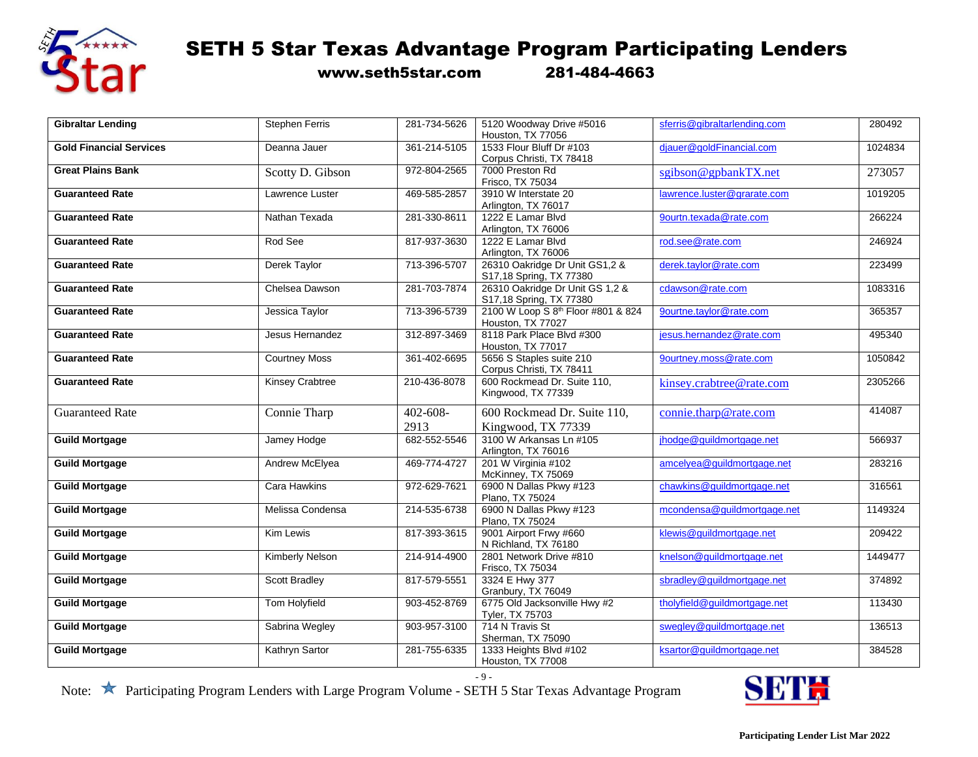

www.seth5star.com 281-484-4663

| <b>Gibraltar Lending</b>       | <b>Stephen Ferris</b>  | 281-734-5626 | 5120 Woodway Drive #5016                       | sferris@gibraltarlending.com | 280492  |
|--------------------------------|------------------------|--------------|------------------------------------------------|------------------------------|---------|
|                                |                        |              | Houston, TX 77056<br>1533 Flour Bluff Dr #103  |                              |         |
| <b>Gold Financial Services</b> | Deanna Jauer           | 361-214-5105 |                                                | djauer@goldFinancial.com     | 1024834 |
|                                |                        |              | Corpus Christi, TX 78418                       |                              |         |
| <b>Great Plains Bank</b>       | Scotty D. Gibson       | 972-804-2565 | 7000 Preston Rd                                | sgibson@gpbankTX.net         | 273057  |
|                                |                        |              | Frisco, TX 75034                               |                              |         |
| <b>Guaranteed Rate</b>         | Lawrence Luster        | 469-585-2857 | 3910 W Interstate 20                           | lawrence.luster@grarate.com  | 1019205 |
|                                |                        |              | Arlington, TX 76017                            |                              |         |
| <b>Guaranteed Rate</b>         | Nathan Texada          | 281-330-8611 | 1222 E Lamar Blvd                              | 9ourtn.texada@rate.com       | 266224  |
|                                |                        |              | Arlington, TX 76006                            |                              |         |
| <b>Guaranteed Rate</b>         | Rod See                | 817-937-3630 | 1222 E Lamar Blvd                              | rod.see@rate.com             | 246924  |
|                                |                        |              | Arlington, TX 76006                            |                              |         |
| <b>Guaranteed Rate</b>         | Derek Taylor           | 713-396-5707 | 26310 Oakridge Dr Unit GS1,2 &                 | derek.taylor@rate.com        | 223499  |
|                                |                        |              | S17,18 Spring, TX 77380                        |                              |         |
| <b>Guaranteed Rate</b>         | Chelsea Dawson         | 281-703-7874 | 26310 Oakridge Dr Unit GS 1,2 &                | cdawson@rate.com             | 1083316 |
|                                |                        |              | S17,18 Spring, TX 77380                        |                              |         |
| <b>Guaranteed Rate</b>         | Jessica Taylor         | 713-396-5739 | 2100 W Loop S 8 <sup>th</sup> Floor #801 & 824 | 9ourtne.taylor@rate.com      | 365357  |
|                                |                        |              | Houston, TX 77027                              |                              |         |
| <b>Guaranteed Rate</b>         | Jesus Hernandez        | 312-897-3469 | 8118 Park Place Blvd #300                      | jesus.hernandez@rate.com     | 495340  |
|                                |                        |              | Houston, TX 77017                              |                              |         |
| <b>Guaranteed Rate</b>         | <b>Courtney Moss</b>   | 361-402-6695 | 5656 S Staples suite 210                       | 9ourtney.moss@rate.com       | 1050842 |
|                                |                        |              | Corpus Christi, TX 78411                       |                              |         |
| <b>Guaranteed Rate</b>         | <b>Kinsey Crabtree</b> | 210-436-8078 | 600 Rockmead Dr. Suite 110,                    | kinsey.crabtree@rate.com     | 2305266 |
|                                |                        |              | Kingwood, TX 77339                             |                              |         |
|                                |                        |              |                                                |                              |         |
| <b>Guaranteed Rate</b>         | Connie Tharp           | 402-608-     | 600 Rockmead Dr. Suite 110,                    | connie.tharp@rate.com        | 414087  |
|                                |                        | 2913         | Kingwood, TX 77339                             |                              |         |
| <b>Guild Mortgage</b>          | Jamey Hodge            | 682-552-5546 | 3100 W Arkansas Ln #105                        | jhodge@guildmortgage.net     | 566937  |
|                                |                        |              | Arlington, TX 76016                            |                              |         |
| <b>Guild Mortgage</b>          | Andrew McElyea         | 469-774-4727 | 201 W Virginia #102                            | amcelyea@guildmortgage.net   | 283216  |
|                                |                        |              | McKinney, TX 75069                             |                              |         |
| <b>Guild Mortgage</b>          | Cara Hawkins           | 972-629-7621 | 6900 N Dallas Pkwy #123                        | chawkins@quildmortgage.net   | 316561  |
|                                |                        |              | Plano, TX 75024                                |                              |         |
|                                |                        |              |                                                |                              | 1149324 |
| <b>Guild Mortgage</b>          | Melissa Condensa       | 214-535-6738 | 6900 N Dallas Pkwy #123                        | mcondensa@guildmortgage.net  |         |
|                                |                        |              | Plano, TX 75024                                |                              |         |
| <b>Guild Mortgage</b>          | Kim Lewis              | 817-393-3615 | 9001 Airport Frwy #660                         | klewis@quildmortgage.net     | 209422  |
|                                |                        |              | N Richland, TX 76180                           |                              |         |
| <b>Guild Mortgage</b>          | <b>Kimberly Nelson</b> | 214-914-4900 | 2801 Network Drive #810                        | knelson@guildmortgage.net    | 1449477 |
|                                |                        |              | Frisco, TX 75034                               |                              |         |
| <b>Guild Mortgage</b>          | <b>Scott Bradley</b>   | 817-579-5551 | 3324 E Hwy 377                                 | sbradley@quildmortgage.net   | 374892  |
|                                |                        |              | Granbury, TX 76049                             |                              |         |
| <b>Guild Mortgage</b>          | <b>Tom Holyfield</b>   | 903-452-8769 | 6775 Old Jacksonville Hwy #2                   | tholyfield@guildmortgage.net | 113430  |
|                                |                        |              | Tyler, TX 75703                                |                              |         |
| <b>Guild Mortgage</b>          | Sabrina Wegley         | 903-957-3100 | 714 N Travis St                                | swegley@guildmortgage.net    | 136513  |
|                                |                        |              | Sherman, TX 75090                              |                              |         |
| <b>Guild Mortgage</b>          | Kathryn Sartor         | 281-755-6335 | 1333 Heights Blvd #102                         | ksartor@guildmortgage.net    | 384528  |
|                                |                        |              | Houston, TX 77008                              |                              |         |

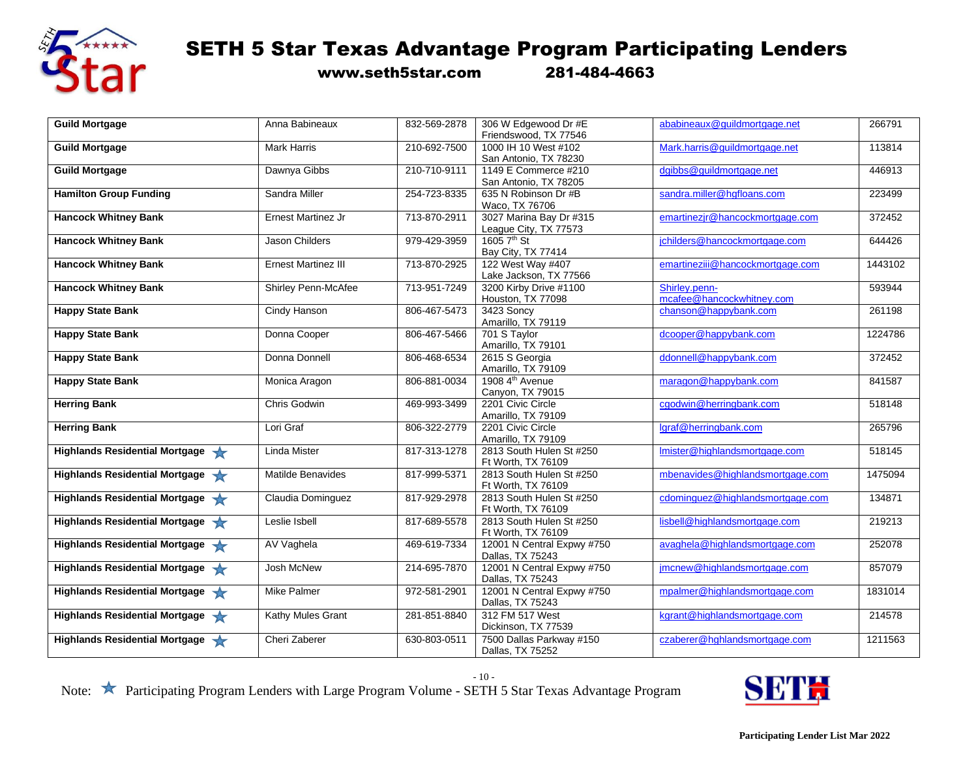

www.seth5star.com 281-484-4663

| <b>Guild Mortgage</b>          | Anna Babineaux             | 832-569-2878 | 306 W Edgewood Dr #E        | ababineaux@quildmortgage.net     | 266791  |
|--------------------------------|----------------------------|--------------|-----------------------------|----------------------------------|---------|
|                                |                            |              | Friendswood, TX 77546       |                                  |         |
| <b>Guild Mortgage</b>          | <b>Mark Harris</b>         | 210-692-7500 | 1000 IH 10 West #102        | Mark.harris@quildmortgage.net    | 113814  |
|                                |                            |              | San Antonio, TX 78230       |                                  |         |
| <b>Guild Mortgage</b>          | Dawnya Gibbs               | 210-710-9111 | 1149 E Commerce #210        | dgibbs@guildmortgage.net         | 446913  |
|                                |                            |              | San Antonio, TX 78205       |                                  |         |
| <b>Hamilton Group Funding</b>  | Sandra Miller              | 254-723-8335 | 635 N Robinson Dr #B        | sandra.miller@hgfloans.com       | 223499  |
|                                |                            |              | Waco, TX 76706              |                                  |         |
| <b>Hancock Whitney Bank</b>    | <b>Ernest Martinez Jr</b>  | 713-870-2911 | 3027 Marina Bay Dr #315     | emartinezjr@hancockmortgage.com  | 372452  |
|                                |                            |              | League City, TX 77573       |                                  |         |
| <b>Hancock Whitney Bank</b>    | Jason Childers             | 979-429-3959 | 1605 7 <sup>th</sup> St     | jchilders@hancockmortgage.com    | 644426  |
|                                |                            |              | Bay City, TX 77414          |                                  |         |
| <b>Hancock Whitney Bank</b>    | <b>Ernest Martinez III</b> | 713-870-2925 | 122 West Way #407           | emartineziii@hancockmortgage.com | 1443102 |
|                                |                            |              | Lake Jackson, TX 77566      |                                  |         |
| <b>Hancock Whitney Bank</b>    | Shirley Penn-McAfee        | 713-951-7249 | 3200 Kirby Drive #1100      | Shirley.penn-                    | 593944  |
|                                |                            |              | Houston, TX 77098           | mcafee@hancockwhitney.com        |         |
| <b>Happy State Bank</b>        | <b>Cindy Hanson</b>        | 806-467-5473 | 3423 Soncy                  | chanson@happybank.com            | 261198  |
|                                |                            |              | Amarillo, TX 79119          |                                  |         |
| <b>Happy State Bank</b>        | Donna Cooper               | 806-467-5466 | 701 S Taylor                | dcooper@happybank.com            | 1224786 |
|                                |                            |              | Amarillo, TX 79101          |                                  |         |
| <b>Happy State Bank</b>        | Donna Donnell              | 806-468-6534 | 2615 S Georgia              | ddonnell@happybank.com           | 372452  |
|                                |                            |              | Amarillo, TX 79109          |                                  |         |
| <b>Happy State Bank</b>        | Monica Aragon              | 806-881-0034 | 1908 4 <sup>th</sup> Avenue | maragon@happybank.com            | 841587  |
|                                |                            |              | Canyon, TX 79015            |                                  |         |
| <b>Herring Bank</b>            | Chris Godwin               | 469-993-3499 | 2201 Civic Circle           | cgodwin@herringbank.com          | 518148  |
|                                |                            |              | Amarillo, TX 79109          |                                  |         |
| <b>Herring Bank</b>            | Lori Graf                  | 806-322-2779 | 2201 Civic Circle           | lgraf@herringbank.com            | 265796  |
|                                |                            |              | Amarillo, TX 79109          |                                  |         |
| Highlands Residential Mortgage | Linda Mister               | 817-313-1278 | 2813 South Hulen St #250    | Imister@highlandsmortgage.com    | 518145  |
|                                |                            |              | Ft Worth, TX 76109          |                                  |         |
| Highlands Residential Mortgage | Matilde Benavides          | 817-999-5371 | 2813 South Hulen St #250    | mbenavides@highlandsmortgage.com | 1475094 |
|                                |                            |              | Ft Worth, TX 76109          |                                  |         |
| Highlands Residential Mortgage | Claudia Dominguez          | 817-929-2978 | 2813 South Hulen St #250    | cdominguez@highlandsmortgage.com | 134871  |
|                                |                            |              | Ft Worth, TX 76109          |                                  |         |
| Highlands Residential Mortgage | Leslie Isbell              | 817-689-5578 | 2813 South Hulen St #250    | lisbell@highlandsmortgage.com    | 219213  |
|                                |                            |              | Ft Worth, TX 76109          |                                  |         |
| Highlands Residential Mortgage | AV Vaghela                 | 469-619-7334 | 12001 N Central Expwy #750  | avaghela@highlandsmortgage.com   | 252078  |
|                                |                            |              | Dallas, TX 75243            |                                  |         |
| Highlands Residential Mortgage | Josh McNew                 | 214-695-7870 | 12001 N Central Expwy #750  | jmcnew@highlandsmortgage.com     | 857079  |
|                                |                            |              | Dallas, TX 75243            |                                  |         |
| Highlands Residential Mortgage | <b>Mike Palmer</b>         | 972-581-2901 | 12001 N Central Expwy #750  | mpalmer@highlandsmortgage.com    | 1831014 |
|                                |                            |              | Dallas, TX 75243            |                                  |         |
| Highlands Residential Mortgage | Kathy Mules Grant          | 281-851-8840 | 312 FM 517 West             | kgrant@highlandsmortgage.com     | 214578  |
|                                |                            |              | Dickinson, TX 77539         |                                  |         |
| Highlands Residential Mortgage | Cheri Zaberer              | 630-803-0511 | 7500 Dallas Parkway #150    | czaberer@hghlandsmortgage.com    | 1211563 |
|                                |                            |              | Dallas, TX 75252            |                                  |         |
|                                |                            |              |                             |                                  |         |

- 10 -

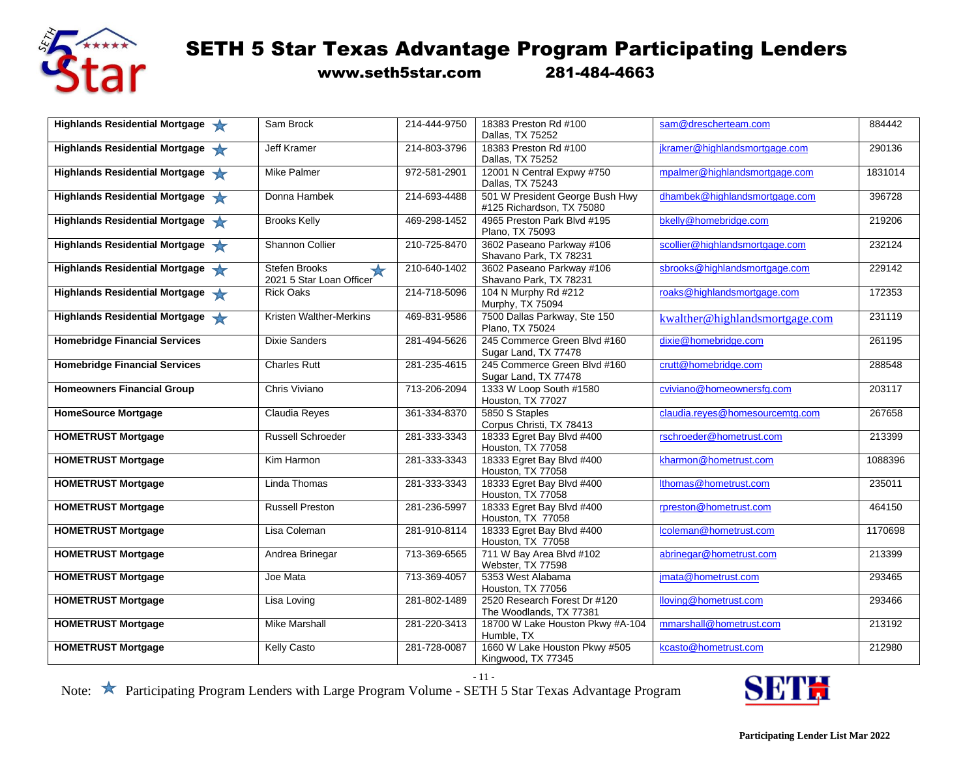

www.seth5star.com 281-484-4663

| Highlands Residential Mortgage       | Sam Brock                                                         | 214-444-9750 | 18383 Preston Rd #100<br>Dallas, TX 75252                    | sam@drescherteam.com            | 884442  |
|--------------------------------------|-------------------------------------------------------------------|--------------|--------------------------------------------------------------|---------------------------------|---------|
| Highlands Residential Mortgage       | <b>Jeff Kramer</b>                                                | 214-803-3796 | 18383 Preston Rd #100                                        | jkramer@highlandsmortgage.com   | 290136  |
|                                      |                                                                   |              | Dallas, TX 75252                                             |                                 |         |
| Highlands Residential Mortgage       | <b>Mike Palmer</b>                                                | 972-581-2901 | 12001 N Central Expwy #750<br>Dallas, TX 75243               | mpalmer@highlandsmortgage.com   | 1831014 |
| Highlands Residential Mortgage       | Donna Hambek                                                      | 214-693-4488 | 501 W President George Bush Hwy<br>#125 Richardson, TX 75080 | dhambek@highlandsmortgage.com   | 396728  |
| Highlands Residential Mortgage       | <b>Brooks Kelly</b>                                               | 469-298-1452 | 4965 Preston Park Blvd #195<br>Plano, TX 75093               | bkelly@homebridge.com           | 219206  |
| Highlands Residential Mortgage       | Shannon Collier                                                   | 210-725-8470 | 3602 Paseano Parkway #106<br>Shavano Park, TX 78231          | scollier@highlandsmortgage.com  | 232124  |
| Highlands Residential Mortgage       | <b>Stefen Brooks</b><br>$\frac{1}{2}$<br>2021 5 Star Loan Officer | 210-640-1402 | 3602 Paseano Parkway #106<br>Shavano Park, TX 78231          | sbrooks@highlandsmortgage.com   | 229142  |
| Highlands Residential Mortgage       | <b>Rick Oaks</b>                                                  | 214-718-5096 | 104 N Murphy Rd #212<br>Murphy, TX 75094                     | roaks@highlandsmortgage.com     | 172353  |
| Highlands Residential Mortgage       | Kristen Walther-Merkins                                           | 469-831-9586 | 7500 Dallas Parkway, Ste 150<br>Plano, TX 75024              | kwalther@highlandsmortgage.com  | 231119  |
| <b>Homebridge Financial Services</b> | <b>Dixie Sanders</b>                                              | 281-494-5626 | 245 Commerce Green Blvd #160<br>Sugar Land, TX 77478         | dixie@homebridge.com            | 261195  |
| <b>Homebridge Financial Services</b> | <b>Charles Rutt</b>                                               | 281-235-4615 | 245 Commerce Green Blvd #160<br>Sugar Land, TX 77478         | crutt@homebridge.com            | 288548  |
| <b>Homeowners Financial Group</b>    | Chris Viviano                                                     | 713-206-2094 | 1333 W Loop South #1580<br>Houston, TX 77027                 | cviviano@homeownersfq.com       | 203117  |
| <b>HomeSource Mortgage</b>           | Claudia Reyes                                                     | 361-334-8370 | 5850 S Staples<br>Corpus Christi, TX 78413                   | claudia.reyes@homesourcemtg.com | 267658  |
| <b>HOMETRUST Mortgage</b>            | Russell Schroeder                                                 | 281-333-3343 | 18333 Egret Bay Blvd #400<br>Houston, TX 77058               | rschroeder@hometrust.com        | 213399  |
| <b>HOMETRUST Mortgage</b>            | Kim Harmon                                                        | 281-333-3343 | 18333 Egret Bay Blvd #400<br>Houston, TX 77058               | kharmon@hometrust.com           | 1088396 |
| <b>HOMETRUST Mortgage</b>            | Linda Thomas                                                      | 281-333-3343 | 18333 Egret Bay Blvd #400<br>Houston, TX 77058               | lthomas@hometrust.com           | 235011  |
| <b>HOMETRUST Mortgage</b>            | <b>Russell Preston</b>                                            | 281-236-5997 | 18333 Egret Bay Blvd #400<br>Houston, TX 77058               | rpreston@hometrust.com          | 464150  |
| <b>HOMETRUST Mortgage</b>            | Lisa Coleman                                                      | 281-910-8114 | 18333 Egret Bay Blvd #400<br>Houston, TX 77058               | lcoleman@hometrust.com          | 1170698 |
| <b>HOMETRUST Mortgage</b>            | Andrea Brinegar                                                   | 713-369-6565 | 711 W Bay Area Blvd #102<br>Webster, TX 77598                | abrinegar@hometrust.com         | 213399  |
| <b>HOMETRUST Mortgage</b>            | Joe Mata                                                          | 713-369-4057 | 5353 West Alabama<br>Houston, TX 77056                       | jmata@hometrust.com             | 293465  |
| <b>HOMETRUST Mortgage</b>            | Lisa Loving                                                       | 281-802-1489 | 2520 Research Forest Dr #120<br>The Woodlands, TX 77381      | lloving@hometrust.com           | 293466  |
| <b>HOMETRUST Mortgage</b>            | <b>Mike Marshall</b>                                              | 281-220-3413 | 18700 W Lake Houston Pkwy #A-104<br>Humble, TX               | mmarshall@hometrust.com         | 213192  |
| <b>HOMETRUST Mortgage</b>            | <b>Kelly Casto</b>                                                | 281-728-0087 | 1660 W Lake Houston Pkwy #505<br>Kingwood, TX 77345          | kcasto@hometrust.com            | 212980  |

- 11 -

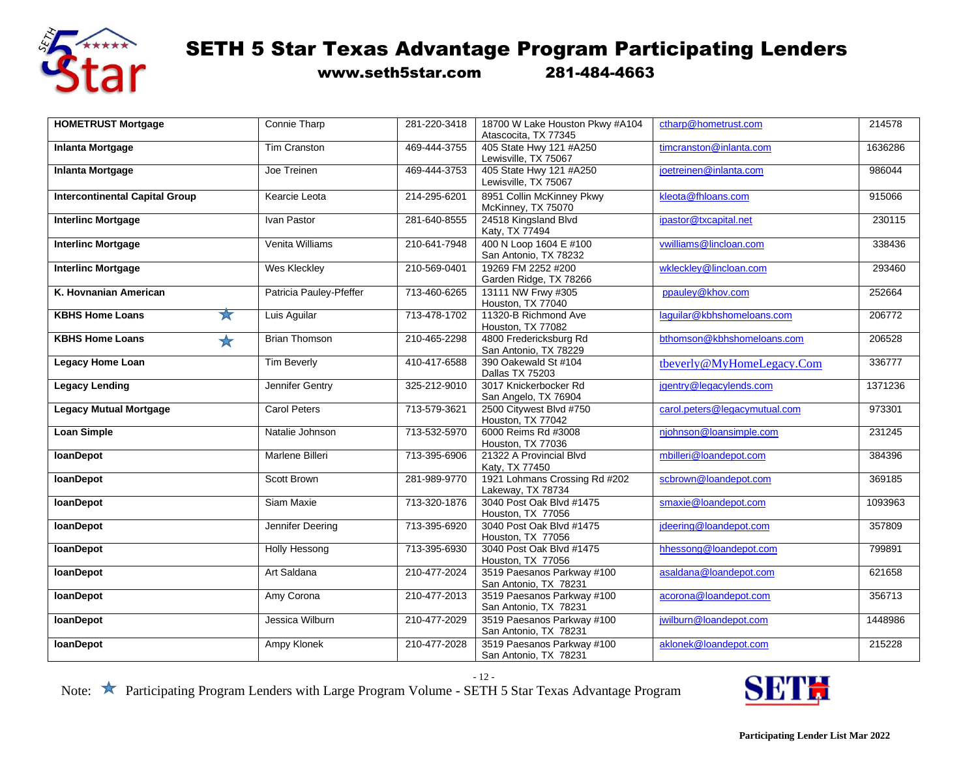

www.seth5star.com 281-484-4663

| <b>HOMETRUST Mortgage</b>                      | Connie Tharp            | 281-220-3418 | 18700 W Lake Houston Pkwy #A104                     | ctharp@hometrust.com          | 214578  |
|------------------------------------------------|-------------------------|--------------|-----------------------------------------------------|-------------------------------|---------|
|                                                |                         |              | Atascocita, TX 77345                                |                               |         |
| <b>Inlanta Mortgage</b>                        | <b>Tim Cranston</b>     | 469-444-3755 | 405 State Hwy 121 #A250<br>Lewisville, TX 75067     | timcranston@inlanta.com       | 1636286 |
| <b>Inlanta Mortgage</b>                        | Joe Treinen             | 469-444-3753 | 405 State Hwy 121 #A250<br>Lewisville, TX 75067     | joetreinen@inlanta.com        | 986044  |
| <b>Intercontinental Capital Group</b>          | Kearcie Leota           | 214-295-6201 | 8951 Collin McKinney Pkwy<br>McKinney, TX 75070     | kleota@fhloans.com            | 915066  |
| <b>Interlinc Mortgage</b>                      | Ivan Pastor             | 281-640-8555 | 24518 Kingsland Blvd<br>Katy, TX 77494              | ipastor@txcapital.net         | 230115  |
| <b>Interlinc Mortgage</b>                      | Venita Williams         | 210-641-7948 | 400 N Loop 1604 E #100<br>San Antonio, TX 78232     | vwilliams@lincloan.com        | 338436  |
| <b>Interlinc Mortgage</b>                      | Wes Kleckley            | 210-569-0401 | 19269 FM 2252 #200<br>Garden Ridge, TX 78266        | wklecklev@lincloan.com        | 293460  |
| K. Hovnanian American                          | Patricia Pauley-Pfeffer | 713-460-6265 | 13111 NW Frwy #305<br>Houston, TX 77040             | ppauley@khov.com              | 252664  |
| $\frac{1}{\sqrt{2}}$<br><b>KBHS Home Loans</b> | Luis Aguilar            | 713-478-1702 | 11320-B Richmond Ave<br>Houston, TX 77082           | laguilar@kbhshomeloans.com    | 206772  |
| <b>KBHS Home Loans</b><br>$\bigstar$           | <b>Brian Thomson</b>    | 210-465-2298 | 4800 Fredericksburg Rd<br>San Antonio, TX 78229     | bthomson@kbhshomeloans.com    | 206528  |
| <b>Legacy Home Loan</b>                        | <b>Tim Beverly</b>      | 410-417-6588 | 390 Oakewald St #104<br>Dallas TX 75203             | tbeverly@MyHomeLegacy.Com     | 336777  |
| <b>Legacy Lending</b>                          | Jennifer Gentry         | 325-212-9010 | 3017 Knickerbocker Rd<br>San Angelo, TX 76904       | jgentry@legacylends.com       | 1371236 |
| <b>Legacy Mutual Mortgage</b>                  | Carol Peters            | 713-579-3621 | 2500 Citywest Blvd #750<br>Houston, TX 77042        | carol.peters@legacymutual.com | 973301  |
| <b>Loan Simple</b>                             | Natalie Johnson         | 713-532-5970 | 6000 Reims Rd #3008<br>Houston, TX 77036            | njohnson@loansimple.com       | 231245  |
| <b>loanDepot</b>                               | Marlene Billeri         | 713-395-6906 | 21322 A Provincial Blvd<br>Katy, TX 77450           | mbilleri@loandepot.com        | 384396  |
| <b>loanDepot</b>                               | Scott Brown             | 281-989-9770 | 1921 Lohmans Crossing Rd #202<br>Lakeway, TX 78734  | scbrown@loandepot.com         | 369185  |
| <b>IoanDepot</b>                               | Siam Maxie              | 713-320-1876 | 3040 Post Oak Blvd #1475<br>Houston, TX 77056       | smaxie@loandepot.com          | 1093963 |
| <b>IoanDepot</b>                               | Jennifer Deering        | 713-395-6920 | 3040 Post Oak Blvd #1475<br>Houston, TX 77056       | jdeering@loandepot.com        | 357809  |
| <b>loanDepot</b>                               | <b>Holly Hessong</b>    | 713-395-6930 | 3040 Post Oak Blvd #1475<br>Houston, TX 77056       | hhessong@loandepot.com        | 799891  |
| <b>IoanDepot</b>                               | Art Saldana             | 210-477-2024 | 3519 Paesanos Parkway #100<br>San Antonio, TX 78231 | asaldana@loandepot.com        | 621658  |
| <b>loanDepot</b>                               | Amy Corona              | 210-477-2013 | 3519 Paesanos Parkway #100<br>San Antonio, TX 78231 | acorona@loandepot.com         | 356713  |
| <b>IoanDepot</b>                               | Jessica Wilburn         | 210-477-2029 | 3519 Paesanos Parkway #100<br>San Antonio, TX 78231 | jwilburn@loandepot.com        | 1448986 |
| loanDepot                                      | Ampy Klonek             | 210-477-2028 | 3519 Paesanos Parkway #100<br>San Antonio, TX 78231 | aklonek@loandepot.com         | 215228  |

- 12 -

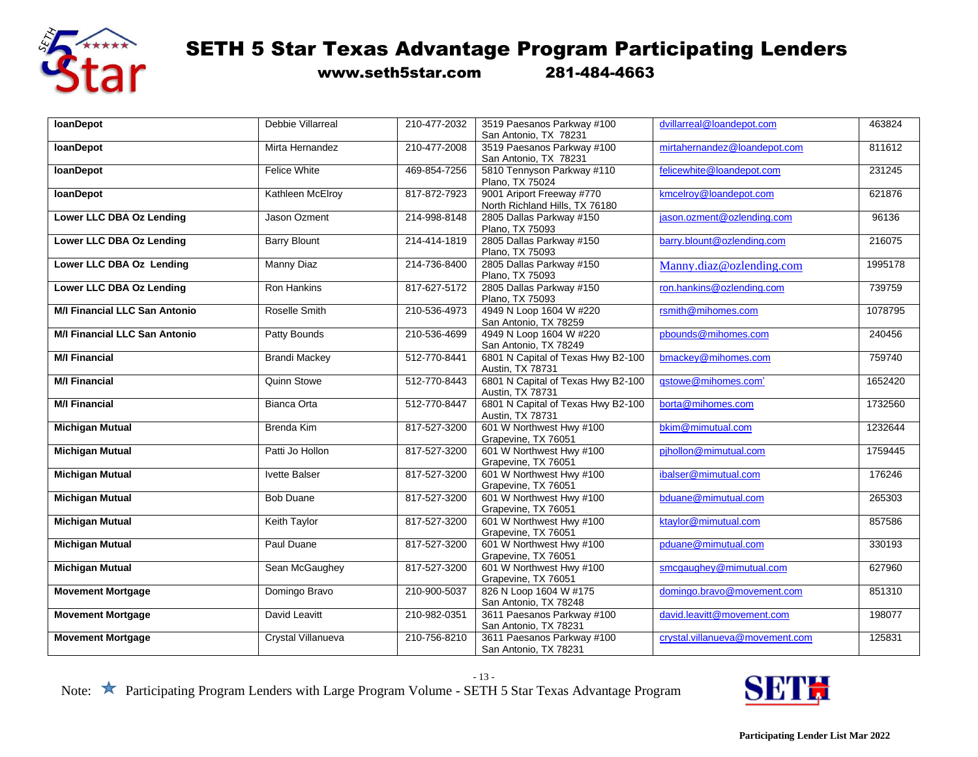

www.seth5star.com 281-484-4663

| <b>IoanDepot</b>                     | Debbie Villarreal    | 210-477-2032 | 3519 Paesanos Parkway #100         | dvillarreal@loandepot.com       | 463824  |
|--------------------------------------|----------------------|--------------|------------------------------------|---------------------------------|---------|
|                                      |                      |              | San Antonio, TX 78231              |                                 |         |
| <b>loanDepot</b>                     | Mirta Hernandez      | 210-477-2008 | 3519 Paesanos Parkway #100         | mirtahernandez@loandepot.com    | 811612  |
|                                      |                      |              | San Antonio, TX 78231              |                                 |         |
| <b>loanDepot</b>                     | <b>Felice White</b>  | 469-854-7256 | 5810 Tennyson Parkway #110         | felicewhite@loandepot.com       | 231245  |
|                                      |                      |              | Plano, TX 75024                    |                                 |         |
| loanDepot                            | Kathleen McElroy     | 817-872-7923 | 9001 Ariport Freeway #770          | kmcelroy@loandepot.com          | 621876  |
|                                      |                      |              | North Richland Hills, TX 76180     |                                 |         |
| Lower LLC DBA Oz Lending             | Jason Ozment         | 214-998-8148 | 2805 Dallas Parkway #150           | jason.ozment@ozlending.com      | 96136   |
|                                      |                      |              | Plano, TX 75093                    |                                 |         |
| Lower LLC DBA Oz Lending             | <b>Barry Blount</b>  | 214-414-1819 | 2805 Dallas Parkway #150           | barry.blount@ozlending.com      | 216075  |
|                                      |                      |              | Plano, TX 75093                    |                                 |         |
| Lower LLC DBA Oz Lending             | Manny Diaz           | 214-736-8400 | 2805 Dallas Parkway #150           | Manny.diaz@ozlending.com        | 1995178 |
|                                      |                      |              | Plano, TX 75093                    |                                 |         |
| Lower LLC DBA Oz Lending             | <b>Ron Hankins</b>   | 817-627-5172 | 2805 Dallas Parkway #150           | ron.hankins@ozlending.com       | 739759  |
|                                      |                      |              | Plano, TX 75093                    |                                 |         |
| <b>M/I Financial LLC San Antonio</b> | Roselle Smith        | 210-536-4973 | 4949 N Loop 1604 W #220            | rsmith@mihomes.com              | 1078795 |
|                                      |                      |              | San Antonio, TX 78259              |                                 |         |
| <b>M/I Financial LLC San Antonio</b> | Patty Bounds         | 210-536-4699 | 4949 N Loop 1604 W #220            | pbounds@mihomes.com             | 240456  |
|                                      |                      |              | San Antonio, TX 78249              |                                 |         |
| <b>M/I Financial</b>                 | <b>Brandi Mackey</b> | 512-770-8441 | 6801 N Capital of Texas Hwy B2-100 | bmackey@mihomes.com             | 759740  |
|                                      |                      |              | Austin, TX 78731                   |                                 |         |
| <b>M/I Financial</b>                 | Quinn Stowe          | 512-770-8443 | 6801 N Capital of Texas Hwy B2-100 | gstowe@mihomes.com'             | 1652420 |
|                                      |                      |              | Austin, TX 78731                   |                                 |         |
| <b>M/I Financial</b>                 | Bianca Orta          | 512-770-8447 | 6801 N Capital of Texas Hwy B2-100 | borta@mihomes.com               | 1732560 |
|                                      |                      |              | Austin, TX 78731                   |                                 |         |
| <b>Michigan Mutual</b>               | Brenda Kim           | 817-527-3200 | 601 W Northwest Hwy #100           | bkim@mimutual.com               | 1232644 |
|                                      |                      |              | Grapevine, TX 76051                |                                 |         |
| <b>Michigan Mutual</b>               | Patti Jo Hollon      | 817-527-3200 | 601 W Northwest Hwy #100           | pihollon@mimutual.com           | 1759445 |
|                                      |                      |              | Grapevine, TX 76051                |                                 |         |
| <b>Michigan Mutual</b>               | Ivette Balser        | 817-527-3200 | 601 W Northwest Hwy #100           | ibalser@mimutual.com            | 176246  |
|                                      |                      |              | Grapevine, TX 76051                |                                 |         |
| <b>Michigan Mutual</b>               | <b>Bob Duane</b>     | 817-527-3200 | 601 W Northwest Hwy #100           | bduane@mimutual.com             | 265303  |
|                                      |                      |              | Grapevine, TX 76051                |                                 |         |
| <b>Michigan Mutual</b>               | Keith Taylor         | 817-527-3200 | 601 W Northwest Hwy #100           | ktavlor@mimutual.com            | 857586  |
|                                      |                      |              | Grapevine, TX 76051                |                                 |         |
| <b>Michigan Mutual</b>               | Paul Duane           | 817-527-3200 | 601 W Northwest Hwy #100           | pduane@mimutual.com             | 330193  |
|                                      |                      |              | Grapevine, TX 76051                |                                 |         |
| <b>Michigan Mutual</b>               | Sean McGaughey       | 817-527-3200 | 601 W Northwest Hwy #100           | smcgaughey@mimutual.com         | 627960  |
|                                      |                      |              | Grapevine, TX 76051                |                                 |         |
| <b>Movement Mortgage</b>             | Domingo Bravo        | 210-900-5037 | 826 N Loop 1604 W #175             | domingo.bravo@movement.com      | 851310  |
|                                      |                      |              |                                    |                                 |         |
|                                      |                      |              | San Antonio, TX 78248              |                                 |         |
| <b>Movement Mortgage</b>             | David Leavitt        | 210-982-0351 | 3611 Paesanos Parkway #100         | david.leavitt@movement.com      | 198077  |
|                                      |                      |              | San Antonio, TX 78231              |                                 |         |
| <b>Movement Mortgage</b>             | Crystal Villanueva   | 210-756-8210 | 3611 Paesanos Parkway #100         | crystal.villanueva@movement.com | 125831  |
|                                      |                      |              | San Antonio, TX 78231              |                                 |         |

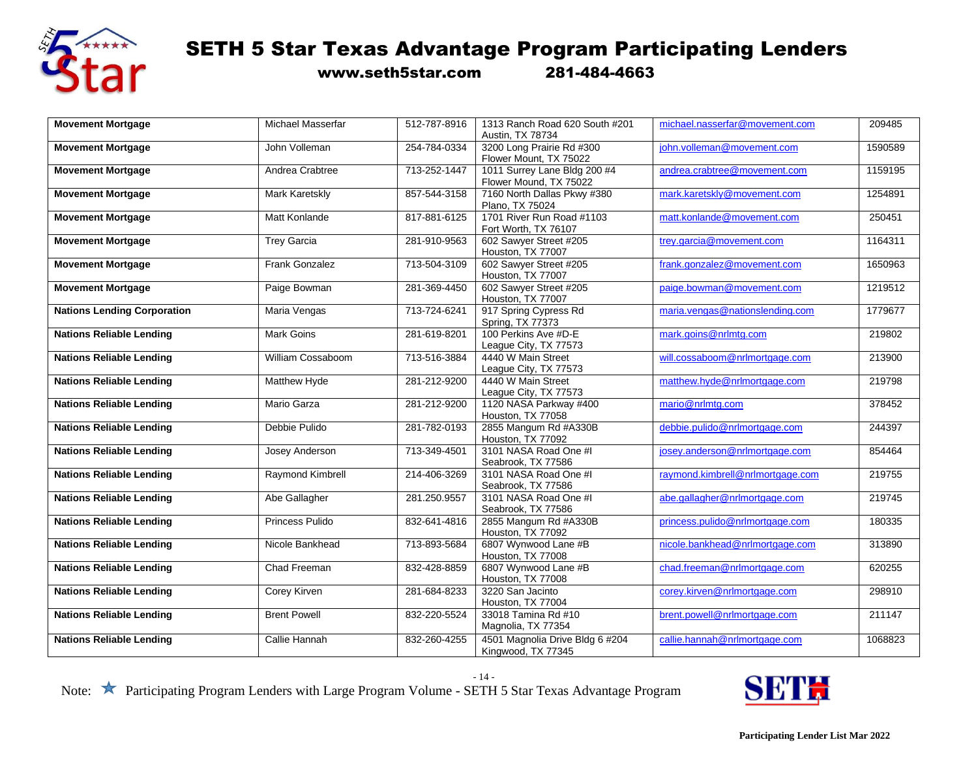

www.seth5star.com 281-484-4663

| <b>Movement Mortgage</b>           | Michael Masserfar     | 512-787-8916 | 1313 Ranch Road 620 South #201<br>Austin, TX 78734    | michael.nasserfar@movement.com   | 209485  |
|------------------------------------|-----------------------|--------------|-------------------------------------------------------|----------------------------------|---------|
| <b>Movement Mortgage</b>           | John Volleman         | 254-784-0334 | 3200 Long Prairie Rd #300                             | john.volleman@movement.com       | 1590589 |
|                                    |                       |              | Flower Mount, TX 75022                                |                                  |         |
| <b>Movement Mortgage</b>           | Andrea Crabtree       | 713-252-1447 | 1011 Surrey Lane Bldg 200 #4                          | andrea.crabtree@movement.com     | 1159195 |
|                                    |                       |              | Flower Mound, TX 75022                                |                                  |         |
| <b>Movement Mortgage</b>           | Mark Karetskly        | 857-544-3158 | 7160 North Dallas Pkwy #380                           | mark.karetskly@movement.com      | 1254891 |
|                                    |                       |              | Plano, TX 75024                                       |                                  |         |
| <b>Movement Mortgage</b>           | Matt Konlande         | 817-881-6125 | 1701 River Run Road #1103                             | matt.konlande@movement.com       | 250451  |
|                                    |                       |              | Fort Worth, TX 76107                                  |                                  |         |
| <b>Movement Mortgage</b>           | <b>Trey Garcia</b>    | 281-910-9563 | 602 Sawyer Street #205                                | trey.garcia@movement.com         | 1164311 |
|                                    |                       |              | Houston, TX 77007                                     |                                  |         |
| <b>Movement Mortgage</b>           | <b>Frank Gonzalez</b> | 713-504-3109 | 602 Sawyer Street #205                                | frank.gonzalez@movement.com      | 1650963 |
|                                    |                       |              | Houston, TX 77007                                     |                                  |         |
| <b>Movement Mortgage</b>           | Paige Bowman          | 281-369-4450 | 602 Sawyer Street #205                                | paige.bowman@movement.com        | 1219512 |
|                                    |                       |              | Houston, TX 77007                                     |                                  |         |
| <b>Nations Lending Corporation</b> | Maria Vengas          | 713-724-6241 | 917 Spring Cypress Rd                                 | maria.vengas@nationslending.com  | 1779677 |
|                                    |                       |              | Spring, TX 77373                                      |                                  |         |
| <b>Nations Reliable Lending</b>    | <b>Mark Goins</b>     | 281-619-8201 | 100 Perkins Ave #D-E                                  | mark.goins@nrlmtg.com            | 219802  |
|                                    |                       |              | League City, TX 77573                                 |                                  |         |
| <b>Nations Reliable Lending</b>    | William Cossaboom     | 713-516-3884 | 4440 W Main Street                                    | will.cossaboom@nrlmortgage.com   | 213900  |
|                                    |                       |              | League City, TX 77573                                 |                                  |         |
| <b>Nations Reliable Lending</b>    | Matthew Hyde          | 281-212-9200 | 4440 W Main Street                                    | matthew.hyde@nrlmortgage.com     | 219798  |
|                                    | Mario Garza           | 281-212-9200 | League City, TX 77573<br>1120 NASA Parkway #400       | mario@nrlmtg.com                 | 378452  |
| <b>Nations Reliable Lending</b>    |                       |              | Houston, TX 77058                                     |                                  |         |
| <b>Nations Reliable Lending</b>    | Debbie Pulido         | 281-782-0193 | 2855 Mangum Rd #A330B                                 | debbie.pulido@nrlmortgage.com    | 244397  |
|                                    |                       |              | Houston, TX 77092                                     |                                  |         |
| <b>Nations Reliable Lending</b>    | Josey Anderson        | 713-349-4501 | 3101 NASA Road One #I                                 | josey.anderson@nrlmortgage.com   | 854464  |
|                                    |                       |              | Seabrook, TX 77586                                    |                                  |         |
| <b>Nations Reliable Lending</b>    | Raymond Kimbrell      | 214-406-3269 | 3101 NASA Road One #I                                 | raymond.kimbrell@nrlmortgage.com | 219755  |
|                                    |                       |              | Seabrook, TX 77586                                    |                                  |         |
| <b>Nations Reliable Lending</b>    | Abe Gallagher         | 281.250.9557 | 3101 NASA Road One #I                                 | abe.gallagher@nrlmortgage.com    | 219745  |
|                                    |                       |              | Seabrook, TX 77586                                    |                                  |         |
| <b>Nations Reliable Lending</b>    | Princess Pulido       | 832-641-4816 | 2855 Mangum Rd #A330B                                 | princess.pulido@nrlmortgage.com  | 180335  |
|                                    |                       |              | Houston, TX 77092                                     |                                  |         |
| <b>Nations Reliable Lending</b>    | Nicole Bankhead       | 713-893-5684 | 6807 Wynwood Lane #B                                  | nicole.bankhead@nrlmortgage.com  | 313890  |
|                                    |                       |              | Houston, TX 77008                                     |                                  |         |
| <b>Nations Reliable Lending</b>    | Chad Freeman          | 832-428-8859 | 6807 Wynwood Lane #B                                  | chad.freeman@nrlmortgage.com     | 620255  |
|                                    |                       |              | Houston, TX 77008                                     |                                  |         |
| <b>Nations Reliable Lending</b>    | Corey Kirven          | 281-684-8233 | 3220 San Jacinto                                      | corey.kirven@nrlmortgage.com     | 298910  |
|                                    |                       |              | Houston, TX 77004                                     |                                  |         |
| <b>Nations Reliable Lending</b>    | <b>Brent Powell</b>   | 832-220-5524 | 33018 Tamina Rd #10                                   | brent.powell@nrlmortgage.com     | 211147  |
|                                    |                       |              | Magnolia, TX 77354                                    |                                  |         |
| <b>Nations Reliable Lending</b>    | Callie Hannah         | 832-260-4255 | 4501 Magnolia Drive Bldg 6 #204<br>Kingwood, TX 77345 | callie.hannah@nrlmortgage.com    | 1068823 |

- 14 -

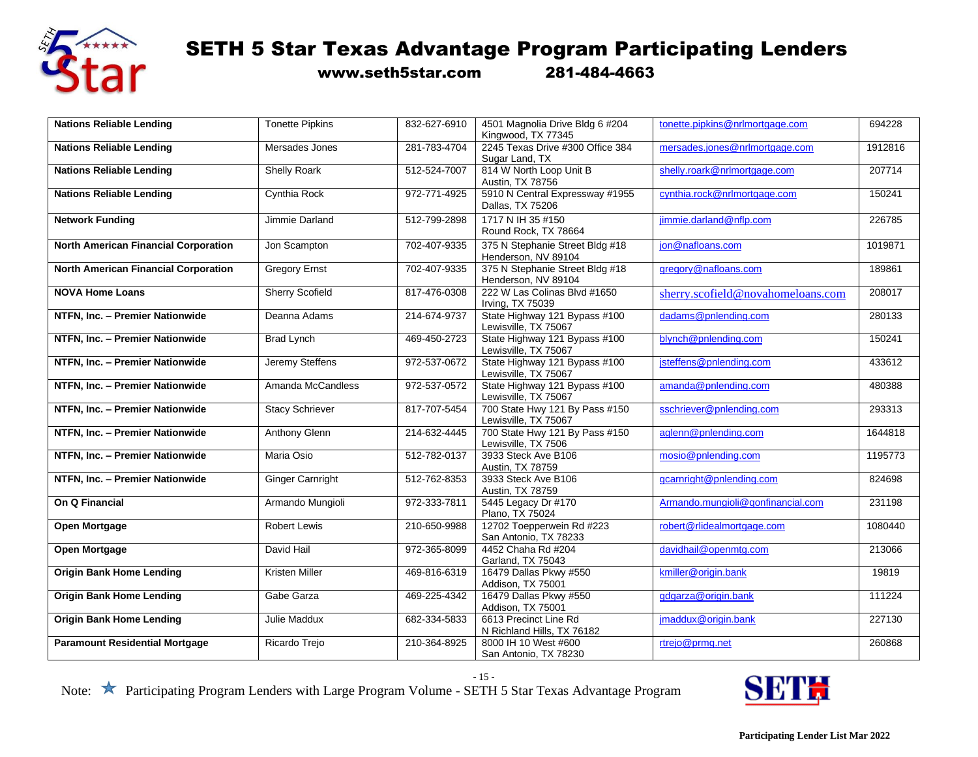

www.seth5star.com 281-484-4663

| <b>Nations Reliable Lending</b>             | <b>Tonette Pipkins</b>  | 832-627-6910 | 4501 Magnolia Drive Bldg 6 #204<br>Kingwood, TX 77345  | tonette.pipkins@nrlmortgage.com   | 694228  |
|---------------------------------------------|-------------------------|--------------|--------------------------------------------------------|-----------------------------------|---------|
| <b>Nations Reliable Lending</b>             | Mersades Jones          | 281-783-4704 | 2245 Texas Drive #300 Office 384                       | mersades.jones@nrlmortgage.com    | 1912816 |
|                                             |                         |              | Sugar Land, TX                                         |                                   |         |
| <b>Nations Reliable Lending</b>             | <b>Shelly Roark</b>     | 512-524-7007 | 814 W North Loop Unit B<br>Austin, TX 78756            | shelly.roark@nrlmortgage.com      | 207714  |
| <b>Nations Reliable Lending</b>             | Cynthia Rock            | 972-771-4925 | 5910 N Central Expressway #1955<br>Dallas, TX 75206    | cynthia.rock@nrlmortgage.com      | 150241  |
| <b>Network Funding</b>                      | Jimmie Darland          | 512-799-2898 | 1717 N IH 35 #150<br>Round Rock, TX 78664              | jimmie.darland@nflp.com           | 226785  |
| <b>North American Financial Corporation</b> | Jon Scampton            | 702-407-9335 | 375 N Stephanie Street Bldg #18<br>Henderson, NV 89104 | jon@nafloans.com                  | 1019871 |
| <b>North American Financial Corporation</b> | <b>Gregory Ernst</b>    | 702-407-9335 | 375 N Stephanie Street Bldg #18<br>Henderson, NV 89104 | gregory@nafloans.com              | 189861  |
| <b>NOVA Home Loans</b>                      | <b>Sherry Scofield</b>  | 817-476-0308 | 222 W Las Colinas Blvd #1650<br>Irving, TX 75039       | sherry.scofield@novahomeloans.com | 208017  |
| NTFN, Inc. - Premier Nationwide             | Deanna Adams            | 214-674-9737 | State Highway 121 Bypass #100<br>Lewisville, TX 75067  | dadams@pnlending.com              | 280133  |
| NTFN. Inc. - Premier Nationwide             | <b>Brad Lynch</b>       | 469-450-2723 | State Highway 121 Bypass #100<br>Lewisville, TX 75067  | blynch@pnlending.com              | 150241  |
| NTFN, Inc. - Premier Nationwide             | Jeremy Steffens         | 972-537-0672 | State Highway 121 Bypass #100<br>Lewisville, TX 75067  | jsteffens@pnlending.com           | 433612  |
| NTFN. Inc. - Premier Nationwide             | Amanda McCandless       | 972-537-0572 | State Highway 121 Bypass #100<br>Lewisville, TX 75067  | amanda@pnlending.com              | 480388  |
| NTFN, Inc. - Premier Nationwide             | <b>Stacy Schriever</b>  | 817-707-5454 | 700 State Hwy 121 By Pass #150<br>Lewisville, TX 75067 | sschriever@pnlending.com          | 293313  |
| NTFN, Inc. - Premier Nationwide             | Anthony Glenn           | 214-632-4445 | 700 State Hwy 121 By Pass #150<br>Lewisville, TX 7506  | aglenn@pnlending.com              | 1644818 |
| NTFN, Inc. - Premier Nationwide             | Maria Osio              | 512-782-0137 | 3933 Steck Ave B106<br>Austin, TX 78759                | mosio@pnlending.com               | 1195773 |
| NTFN, Inc. - Premier Nationwide             | <b>Ginger Carnright</b> | 512-762-8353 | 3933 Steck Ave B106<br>Austin, TX 78759                | gcarnright@pnlending.com          | 824698  |
| On Q Financial                              | Armando Mungioli        | 972-333-7811 | 5445 Legacy Dr #170<br>Plano, TX 75024                 | Armando.mungioli@gonfinancial.com | 231198  |
| <b>Open Mortgage</b>                        | <b>Robert Lewis</b>     | 210-650-9988 | 12702 Toepperwein Rd #223<br>San Antonio, TX 78233     | robert@rlidealmortgage.com        | 1080440 |
| <b>Open Mortgage</b>                        | David Hail              | 972-365-8099 | 4452 Chaha Rd #204<br>Garland, TX 75043                | davidhail@openmtg.com             | 213066  |
| <b>Origin Bank Home Lending</b>             | Kristen Miller          | 469-816-6319 | 16479 Dallas Pkwy #550<br>Addison, TX 75001            | kmiller@origin.bank               | 19819   |
| <b>Origin Bank Home Lending</b>             | Gabe Garza              | 469-225-4342 | 16479 Dallas Pkwy #550<br>Addison, TX 75001            | gdgarza@origin.bank               | 111224  |
| <b>Origin Bank Home Lending</b>             | Julie Maddux            | 682-334-5833 | 6613 Precinct Line Rd<br>N Richland Hills, TX 76182    | jmaddux@origin.bank               | 227130  |
| <b>Paramount Residential Mortgage</b>       | Ricardo Trejo           | 210-364-8925 | 8000 IH 10 West #600<br>San Antonio, TX 78230          | rtrejo@prmq.net                   | 260868  |

- 15 -

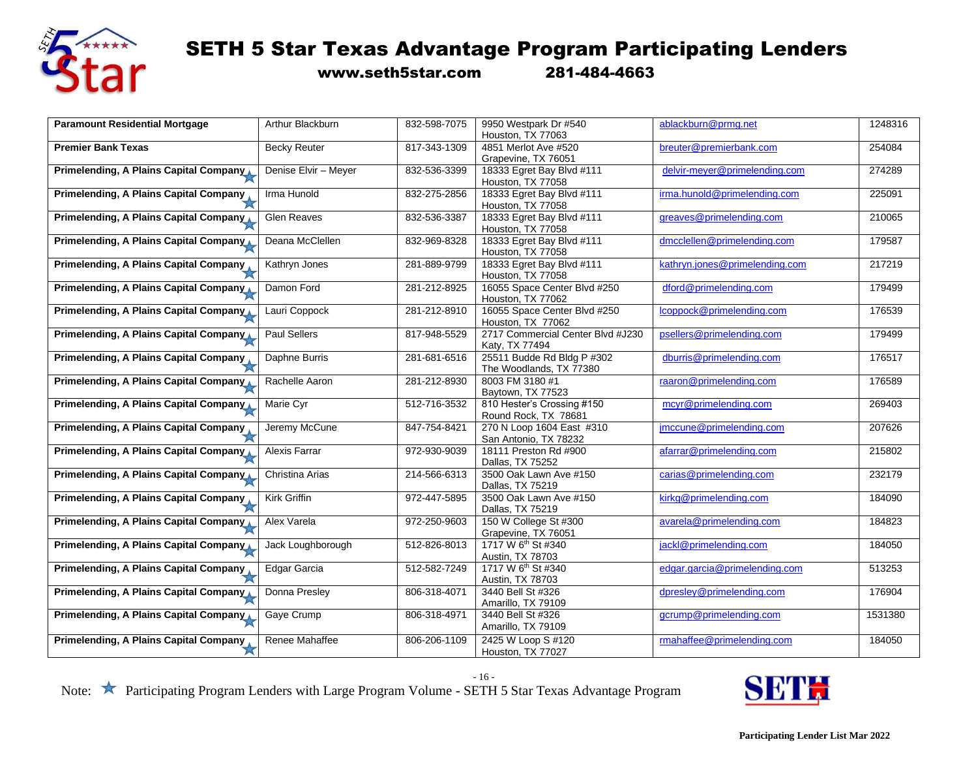

www.seth5star.com 281-484-4663

| <b>Paramount Residential Mortgage</b>         | Arthur Blackburn     | 832-598-7075 | 9950 Westpark Dr #540             | ablackburn@prmg.net            | 1248316 |
|-----------------------------------------------|----------------------|--------------|-----------------------------------|--------------------------------|---------|
|                                               |                      |              | Houston, TX 77063                 |                                |         |
| <b>Premier Bank Texas</b>                     | <b>Becky Reuter</b>  | 817-343-1309 | 4851 Merlot Ave #520              | breuter@premierbank.com        | 254084  |
|                                               |                      |              | Grapevine, TX 76051               |                                |         |
| Primelending, A Plains Capital Company        | Denise Elvir - Meyer | 832-536-3399 | 18333 Egret Bay Blvd #111         | delvir-meyer@primelending.com  | 274289  |
|                                               |                      |              | Houston, TX 77058                 |                                |         |
| Primelending, A Plains Capital Company        | Irma Hunold          | 832-275-2856 | 18333 Egret Bay Blvd #111         | irma.hunold@primelending.com   | 225091  |
|                                               |                      |              | Houston, TX 77058                 |                                |         |
| Primelending, A Plains Capital Company        | <b>Glen Reaves</b>   | 832-536-3387 | 18333 Egret Bay Blvd #111         | greaves@primelending.com       | 210065  |
|                                               |                      |              | Houston, TX 77058                 |                                |         |
| Primelending, A Plains Capital Company        | Deana McClellen      | 832-969-8328 | 18333 Egret Bay Blvd #111         | dmcclellen@primelending.com    | 179587  |
|                                               |                      |              | Houston, TX 77058                 |                                |         |
| Primelending, A Plains Capital Company        | Kathryn Jones        | 281-889-9799 | 18333 Egret Bay Blvd #111         | kathryn.jones@primelending.com | 217219  |
|                                               |                      |              | Houston, TX 77058                 |                                |         |
| Primelending, A Plains Capital Company        | Damon Ford           | 281-212-8925 | 16055 Space Center Blvd #250      | dford@primelending.com         | 179499  |
|                                               |                      |              | Houston, TX 77062                 |                                |         |
| Primelending, A Plains Capital Company        | Lauri Coppock        | 281-212-8910 | 16055 Space Center Blvd #250      | lcoppock@primelending.com      | 176539  |
|                                               |                      |              | Houston, TX 77062                 |                                |         |
| Primelending, A Plains Capital Company        | <b>Paul Sellers</b>  | 817-948-5529 | 2717 Commercial Center Blvd #J230 | psellers@primelending.com      | 179499  |
|                                               |                      |              | Katy, TX 77494                    |                                |         |
| Primelending, A Plains Capital Company        | Daphne Burris        | 281-681-6516 | 25511 Budde Rd Bldg P #302        | dburris@primelending.com       | 176517  |
|                                               |                      |              | The Woodlands, TX 77380           |                                |         |
| Primelending, A Plains Capital Company        | Rachelle Aaron       | 281-212-8930 | 8003 FM 3180 #1                   | raaron@primelending.com        | 176589  |
|                                               |                      |              | Baytown, TX 77523                 |                                |         |
| Primelending, A Plains Capital Company        | Marie Cyr            | 512-716-3532 | 810 Hester's Crossing #150        | mcyr@primelending.com          | 269403  |
|                                               |                      |              | Round Rock, TX 78681              |                                |         |
| Primelending, A Plains Capital Company        | Jeremy McCune        | 847-754-8421 | 270 N Loop 1604 East #310         | jmccune@primelending.com       | 207626  |
|                                               |                      |              | San Antonio, TX 78232             |                                |         |
| Primelending, A Plains Capital Company        | Alexis Farrar        | 972-930-9039 | 18111 Preston Rd #900             | afarrar@primelending.com       | 215802  |
|                                               |                      |              | Dallas, TX 75252                  |                                |         |
| Primelending, A Plains Capital Company        | Christina Arias      | 214-566-6313 | 3500 Oak Lawn Ave #150            | carias@primelending.com        | 232179  |
|                                               |                      |              | Dallas, TX 75219                  |                                |         |
| <b>Primelending, A Plains Capital Company</b> | <b>Kirk Griffin</b>  | 972-447-5895 | 3500 Oak Lawn Ave #150            | kirkg@primelending.com         | 184090  |
|                                               |                      |              | Dallas, TX 75219                  |                                |         |
| Primelending, A Plains Capital Company        | Alex Varela          | 972-250-9603 | 150 W College St #300             | avarela@primelending.com       | 184823  |
|                                               |                      |              | Grapevine, TX 76051               |                                |         |
| Primelending, A Plains Capital Company        | Jack Loughborough    | 512-826-8013 | 1717 W 6 <sup>th</sup> St #340    | jackl@primelending.com         | 184050  |
|                                               |                      |              | Austin, TX 78703                  |                                |         |
| Primelending, A Plains Capital Company        | Edgar Garcia         | 512-582-7249 | 1717 W 6 <sup>th</sup> St #340    | edgar.garcia@primelending.com  | 513253  |
|                                               |                      |              | Austin, TX 78703                  |                                |         |
| Primelending, A Plains Capital Company        | Donna Presley        | 806-318-4071 | 3440 Bell St #326                 | dpresley@primelending.com      | 176904  |
|                                               |                      |              | Amarillo, TX 79109                |                                |         |
| Primelending, A Plains Capital Company        | Gaye Crump           | 806-318-4971 | 3440 Bell St #326                 | gcrump@primelending.com        | 1531380 |
|                                               |                      |              | Amarillo, TX 79109                |                                |         |
| <b>Primelending, A Plains Capital Company</b> | Renee Mahaffee       | 806-206-1109 | 2425 W Loop S #120                | rmahaffee@primelending.com     | 184050  |
|                                               |                      |              | Houston, TX 77027                 |                                |         |

- 16 -

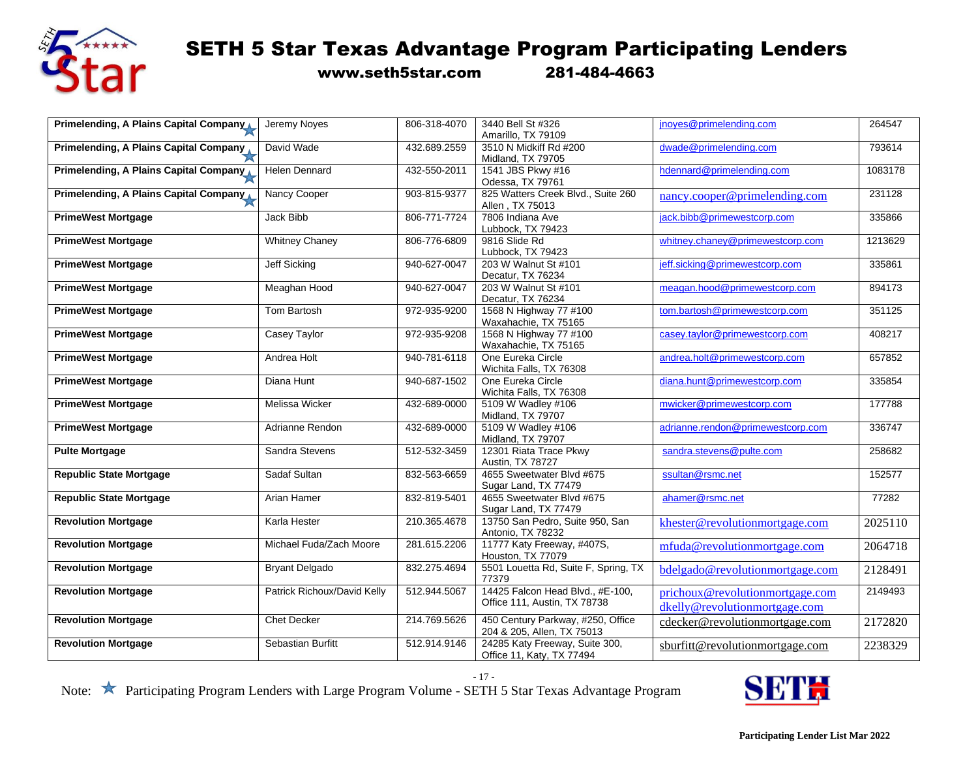

www.seth5star.com 281-484-4663

| <b>Primelending, A Plains Capital Company</b> | Jeremy Noves                | 806-318-4070 | 3440 Bell St #326                    | jnoyes@primelending.com           | 264547  |
|-----------------------------------------------|-----------------------------|--------------|--------------------------------------|-----------------------------------|---------|
|                                               |                             |              | Amarillo, TX 79109                   |                                   |         |
| Primelending, A Plains Capital Company        | David Wade                  | 432.689.2559 | 3510 N Midkiff Rd #200               | dwade@primelending.com            | 793614  |
|                                               |                             |              | Midland, TX 79705                    |                                   |         |
| Primelending, A Plains Capital Company        | <b>Helen Dennard</b>        | 432-550-2011 | 1541 JBS Pkwy #16                    | hdennard@primelending.com         | 1083178 |
|                                               |                             |              | Odessa, TX 79761                     |                                   |         |
| Primelending, A Plains Capital Company        | Nancy Cooper                | 903-815-9377 | 825 Watters Creek Blvd., Suite 260   | nancy.cooper@primelending.com     | 231128  |
|                                               |                             |              | Allen, TX 75013                      |                                   |         |
| <b>PrimeWest Mortgage</b>                     | Jack Bibb                   | 806-771-7724 | 7806 Indiana Ave                     | jack.bibb@primewestcorp.com       | 335866  |
|                                               |                             |              | Lubbock, TX 79423                    |                                   |         |
| <b>PrimeWest Mortgage</b>                     | <b>Whitney Chaney</b>       | 806-776-6809 | 9816 Slide Rd                        | whitney.chaney@primewestcorp.com  | 1213629 |
|                                               |                             |              | Lubbock, TX 79423                    |                                   |         |
| <b>PrimeWest Mortgage</b>                     | <b>Jeff Sicking</b>         | 940-627-0047 | 203 W Walnut St #101                 | jeff.sicking@primewestcorp.com    | 335861  |
|                                               |                             |              | Decatur, TX 76234                    |                                   |         |
| <b>PrimeWest Mortgage</b>                     | Meaghan Hood                | 940-627-0047 | 203 W Walnut St #101                 | meagan.hood@primewestcorp.com     | 894173  |
|                                               |                             |              | Decatur, TX 76234                    |                                   |         |
| <b>PrimeWest Mortgage</b>                     | Tom Bartosh                 | 972-935-9200 | 1568 N Highway 77 #100               | tom.bartosh@primewestcorp.com     | 351125  |
|                                               |                             |              | Waxahachie, TX 75165                 |                                   |         |
| <b>PrimeWest Mortgage</b>                     | Casey Taylor                | 972-935-9208 | 1568 N Highway 77 #100               | casey.taylor@primewestcorp.com    | 408217  |
|                                               |                             |              | Waxahachie, TX 75165                 |                                   |         |
| <b>PrimeWest Mortgage</b>                     | Andrea Holt                 | 940-781-6118 | One Eureka Circle                    | andrea.holt@primewestcorp.com     | 657852  |
|                                               |                             |              | Wichita Falls, TX 76308              |                                   |         |
| <b>PrimeWest Mortgage</b>                     | Diana Hunt                  | 940-687-1502 | One Eureka Circle                    | diana.hunt@primewestcorp.com      | 335854  |
|                                               |                             |              | Wichita Falls, TX 76308              |                                   |         |
| <b>PrimeWest Mortgage</b>                     | Melissa Wicker              | 432-689-0000 | 5109 W Wadley #106                   | mwicker@primewestcorp.com         | 177788  |
|                                               |                             |              | Midland, TX 79707                    |                                   |         |
| <b>PrimeWest Mortgage</b>                     | Adrianne Rendon             | 432-689-0000 | 5109 W Wadley #106                   | adrianne.rendon@primewestcorp.com | 336747  |
|                                               |                             |              | Midland, TX 79707                    |                                   |         |
| <b>Pulte Mortgage</b>                         | Sandra Stevens              | 512-532-3459 | 12301 Riata Trace Pkwy               | sandra.stevens@pulte.com          | 258682  |
|                                               |                             |              | Austin, TX 78727                     |                                   |         |
| <b>Republic State Mortgage</b>                | Sadaf Sultan                | 832-563-6659 | 4655 Sweetwater Blvd #675            | ssultan@rsmc.net                  | 152577  |
|                                               |                             |              | Sugar Land, TX 77479                 |                                   |         |
| <b>Republic State Mortgage</b>                | Arian Hamer                 | 832-819-5401 | 4655 Sweetwater Blvd #675            | ahamer@rsmc.net                   | 77282   |
|                                               |                             |              | Sugar Land, TX 77479                 |                                   |         |
| <b>Revolution Mortgage</b>                    | Karla Hester                | 210.365.4678 | 13750 San Pedro, Suite 950, San      | khester@revolutionmortgage.com    | 2025110 |
|                                               |                             |              | Antonio, TX 78232                    |                                   |         |
| <b>Revolution Mortgage</b>                    | Michael Fuda/Zach Moore     | 281.615.2206 | 11777 Katy Freeway, #407S,           | mfuda@revolutionmortgage.com      | 2064718 |
|                                               |                             |              | Houston, TX 77079                    |                                   |         |
| <b>Revolution Mortgage</b>                    | <b>Bryant Delgado</b>       | 832.275.4694 | 5501 Louetta Rd, Suite F, Spring, TX | bdelgado@revolutionmortgage.com   | 2128491 |
|                                               |                             |              | 77379                                |                                   |         |
| <b>Revolution Mortgage</b>                    | Patrick Richoux/David Kelly | 512.944.5067 | 14425 Falcon Head Blvd., #E-100.     | prichoux@revolutionmortgage.com   | 2149493 |
|                                               |                             |              | Office 111, Austin, TX 78738         | dkelly@revolutionmortgage.com     |         |
| <b>Revolution Mortgage</b>                    | <b>Chet Decker</b>          | 214.769.5626 | 450 Century Parkway, #250, Office    | cdecker@revolutionmortgage.com    | 2172820 |
|                                               |                             |              | 204 & 205, Allen, TX 75013           |                                   |         |
| <b>Revolution Mortgage</b>                    | Sebastian Burfitt           | 512.914.9146 | 24285 Katy Freeway, Suite 300,       | sburfitt@revolutionmortgage.com   | 2238329 |
|                                               |                             |              | Office 11, Katy, TX 77494            |                                   |         |

- 17 -

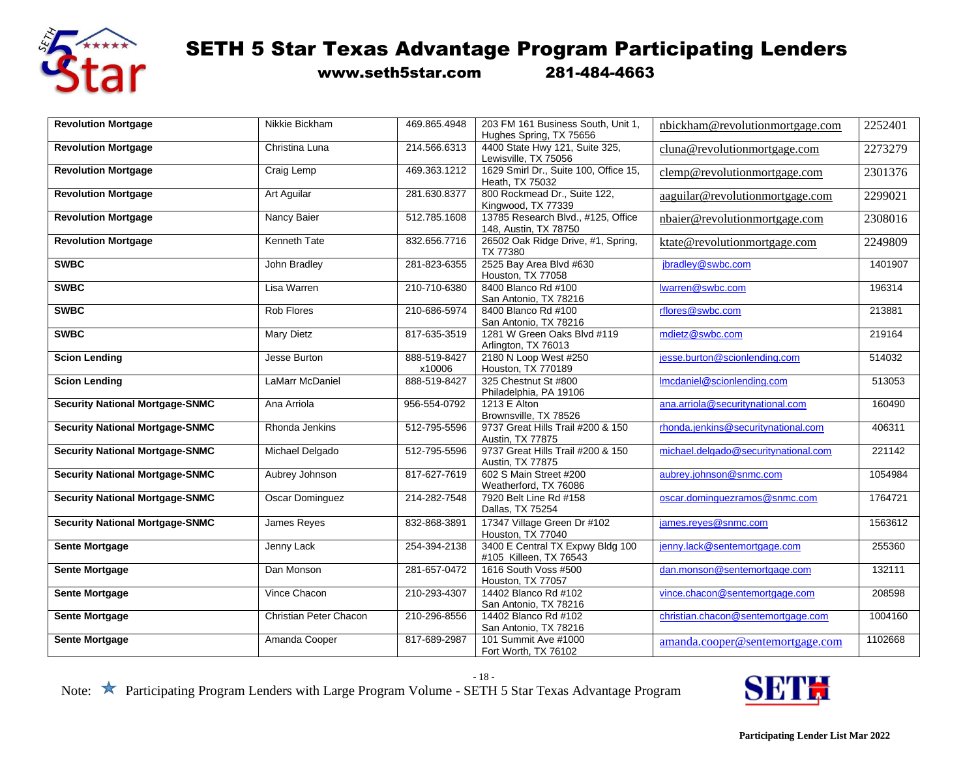

www.seth5star.com 281-484-4663

| <b>Revolution Mortgage</b>             | Nikkie Bickham         | 469.865.4948           | 203 FM 161 Business South, Unit 1,                          | nbickham@revolutionmortgage.com      | 2252401 |
|----------------------------------------|------------------------|------------------------|-------------------------------------------------------------|--------------------------------------|---------|
|                                        |                        |                        | Hughes Spring, TX 75656                                     |                                      |         |
| <b>Revolution Mortgage</b>             | Christina Luna         | 214.566.6313           | 4400 State Hwy 121, Suite 325,<br>Lewisville, TX 75056      | cluna@revolutionmortgage.com         | 2273279 |
| <b>Revolution Mortgage</b>             | Craig Lemp             | 469.363.1212           | 1629 Smirl Dr., Suite 100, Office 15,<br>Heath, TX 75032    | clemp@revolutionmortgage.com         | 2301376 |
| <b>Revolution Mortgage</b>             | Art Aguilar            | 281.630.8377           | 800 Rockmead Dr., Suite 122,<br>Kingwood, TX 77339          | aaguilar@revolutionmortgage.com      | 2299021 |
| <b>Revolution Mortgage</b>             | Nancy Baier            | 512.785.1608           | 13785 Research Blvd., #125, Office<br>148, Austin, TX 78750 | nbaier@revolutionmortgage.com        | 2308016 |
| <b>Revolution Mortgage</b>             | Kenneth Tate           | 832.656.7716           | 26502 Oak Ridge Drive, #1, Spring,<br>TX 77380              | ktate@revolutionmortgage.com         | 2249809 |
| <b>SWBC</b>                            | John Bradley           | 281-823-6355           | 2525 Bay Area Blvd #630<br>Houston, TX 77058                | jbradley@swbc.com                    | 1401907 |
| <b>SWBC</b>                            | Lisa Warren            | 210-710-6380           | 8400 Blanco Rd #100<br>San Antonio, TX 78216                | lwarren@swbc.com                     | 196314  |
| <b>SWBC</b>                            | Rob Flores             | 210-686-5974           | 8400 Blanco Rd #100<br>San Antonio, TX 78216                | rflores@swbc.com                     | 213881  |
| <b>SWBC</b>                            | <b>Mary Dietz</b>      | 817-635-3519           | 1281 W Green Oaks Blvd #119<br>Arlington, TX 76013          | mdietz@swbc.com                      | 219164  |
| <b>Scion Lending</b>                   | Jesse Burton           | 888-519-8427<br>x10006 | 2180 N Loop West #250<br>Houston, TX 770189                 | jesse.burton@scionlending.com        | 514032  |
| <b>Scion Lending</b>                   | LaMarr McDaniel        | 888-519-8427           | 325 Chestnut St #800<br>Philadelphia, PA 19106              | Imcdaniel@scionlending.com           | 513053  |
| <b>Security National Mortgage-SNMC</b> | Ana Arriola            | 956-554-0792           | 1213 E Alton<br>Brownsville, TX 78526                       | ana.arriola@securitynational.com     | 160490  |
| <b>Security National Mortgage-SNMC</b> | Rhonda Jenkins         | 512-795-5596           | 9737 Great Hills Trail #200 & 150<br>Austin, TX 77875       | rhonda.jenkins@securitynational.com  | 406311  |
| <b>Security National Mortgage-SNMC</b> | Michael Delgado        | 512-795-5596           | 9737 Great Hills Trail #200 & 150<br>Austin, TX 77875       | michael.delgado@securitynational.com | 221142  |
| <b>Security National Mortgage-SNMC</b> | Aubrey Johnson         | 817-627-7619           | 602 S Main Street #200<br>Weatherford, TX 76086             | aubrey.johnson@snmc.com              | 1054984 |
| <b>Security National Mortgage-SNMC</b> | <b>Oscar Dominguez</b> | 214-282-7548           | 7920 Belt Line Rd #158<br>Dallas, TX 75254                  | oscar.dominguezramos@snmc.com        | 1764721 |
| <b>Security National Mortgage-SNMC</b> | James Reves            | 832-868-3891           | 17347 Village Green Dr #102<br>Houston, TX 77040            | james.reves@snmc.com                 | 1563612 |
| <b>Sente Mortgage</b>                  | Jenny Lack             | 254-394-2138           | 3400 E Central TX Expwy Bldg 100<br>#105 Killeen, TX 76543  | jenny.lack@sentemortgage.com         | 255360  |
| <b>Sente Mortgage</b>                  | Dan Monson             | 281-657-0472           | 1616 South Voss #500<br>Houston, TX 77057                   | dan.monson@sentemortgage.com         | 132111  |
| <b>Sente Mortgage</b>                  | Vince Chacon           | 210-293-4307           | 14402 Blanco Rd #102<br>San Antonio, TX 78216               | vince.chacon@sentemortgage.com       | 208598  |
| <b>Sente Mortgage</b>                  | Christian Peter Chacon | 210-296-8556           | 14402 Blanco Rd #102<br>San Antonio, TX 78216               | christian.chacon@sentemortgage.com   | 1004160 |
| <b>Sente Mortgage</b>                  | Amanda Cooper          | 817-689-2987           | 101 Summit Ave #1000<br>Fort Worth, TX 76102                | amanda.cooper@sentemortgage.com      | 1102668 |

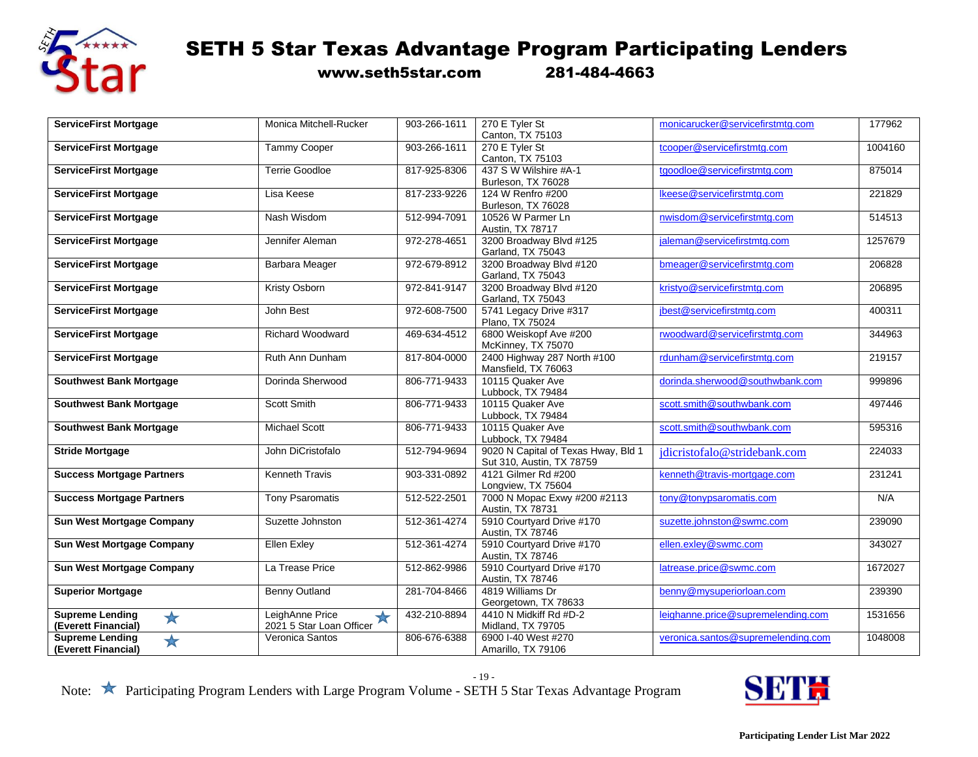

www.seth5star.com 281-484-4663

| <b>ServiceFirst Mortgage</b>         | Monica Mitchell-Rucker     | 903-266-1611 | 270 E Tyler St                      | monicarucker@servicefirstmtg.com   | 177962  |
|--------------------------------------|----------------------------|--------------|-------------------------------------|------------------------------------|---------|
|                                      |                            |              | Canton, TX 75103                    |                                    |         |
| <b>ServiceFirst Mortgage</b>         | <b>Tammy Cooper</b>        | 903-266-1611 | 270 E Tyler St                      | tcooper@servicefirstmtg.com        | 1004160 |
|                                      |                            |              | Canton, TX 75103                    |                                    |         |
| <b>ServiceFirst Mortgage</b>         | <b>Terrie Goodloe</b>      | 817-925-8306 | 437 S W Wilshire #A-1               | tgoodloe@servicefirstmtg.com       | 875014  |
|                                      |                            |              | Burleson, TX 76028                  |                                    |         |
| <b>ServiceFirst Mortgage</b>         | Lisa Keese                 | 817-233-9226 | 124 W Renfro #200                   | Ikeese@servicefirstmtg.com         | 221829  |
|                                      |                            |              | Burleson, TX 76028                  |                                    |         |
| <b>ServiceFirst Mortgage</b>         | Nash Wisdom                | 512-994-7091 | 10526 W Parmer Ln                   | nwisdom@servicefirstmtg.com        | 514513  |
|                                      |                            |              | Austin, TX 78717                    |                                    |         |
| <b>ServiceFirst Mortgage</b>         | Jennifer Aleman            | 972-278-4651 | 3200 Broadway Blvd #125             | jaleman@servicefirstmtg.com        | 1257679 |
|                                      |                            |              | Garland, TX 75043                   |                                    |         |
| <b>ServiceFirst Mortgage</b>         | Barbara Meager             | 972-679-8912 | 3200 Broadway Blvd #120             | bmeager@servicefirstmtg.com        | 206828  |
|                                      |                            |              | Garland, TX 75043                   |                                    |         |
| <b>ServiceFirst Mortgage</b>         | Kristy Osborn              | 972-841-9147 | 3200 Broadway Blvd #120             | kristyo@servicefirstmtg.com        | 206895  |
|                                      |                            |              | Garland, TX 75043                   |                                    |         |
| <b>ServiceFirst Mortgage</b>         | John Best                  | 972-608-7500 | 5741 Legacy Drive #317              | jbest@servicefirstmtg.com          | 400311  |
|                                      |                            |              | Plano, TX 75024                     |                                    |         |
| <b>ServiceFirst Mortgage</b>         | <b>Richard Woodward</b>    | 469-634-4512 | 6800 Weiskopf Ave #200              | rwoodward@servicefirstmtg.com      | 344963  |
|                                      |                            |              | McKinney, TX 75070                  |                                    |         |
| <b>ServiceFirst Mortgage</b>         | Ruth Ann Dunham            | 817-804-0000 | 2400 Highway 287 North #100         | rdunham@servicefirstmtg.com        | 219157  |
|                                      |                            |              | Mansfield, TX 76063                 |                                    |         |
|                                      | Dorinda Sherwood           | 806-771-9433 | 10115 Quaker Ave                    |                                    | 999896  |
| <b>Southwest Bank Mortgage</b>       |                            |              | Lubbock, TX 79484                   | dorinda.sherwood@southwbank.com    |         |
| <b>Southwest Bank Mortgage</b>       | Scott Smith                | 806-771-9433 | 10115 Quaker Ave                    | scott.smith@southwbank.com         | 497446  |
|                                      |                            |              | Lubbock, TX 79484                   |                                    |         |
|                                      | <b>Michael Scott</b>       | 806-771-9433 | 10115 Quaker Ave                    | scott.smith@southwbank.com         | 595316  |
| <b>Southwest Bank Mortgage</b>       |                            |              | Lubbock, TX 79484                   |                                    |         |
|                                      |                            | 512-794-9694 | 9020 N Capital of Texas Hway, Bld 1 |                                    |         |
| <b>Stride Mortgage</b>               | John DiCristofalo          |              | Sut 310, Austin, TX 78759           | jdicristofalo@stridebank.com       | 224033  |
|                                      | Kenneth Travis             | 903-331-0892 | 4121 Gilmer Rd #200                 |                                    |         |
| <b>Success Mortgage Partners</b>     |                            |              |                                     | kenneth@travis-mortgage.com        | 231241  |
|                                      |                            | 512-522-2501 | Longview, TX 75604                  |                                    | N/A     |
| <b>Success Mortgage Partners</b>     | <b>Tony Psaromatis</b>     |              | 7000 N Mopac Exwy #200 #2113        | tony@tonypsaromatis.com            |         |
|                                      |                            |              | Austin, TX 78731                    |                                    |         |
| <b>Sun West Mortgage Company</b>     | Suzette Johnston           | 512-361-4274 | 5910 Courtyard Drive #170           | suzette.iohnston@swmc.com          | 239090  |
|                                      |                            |              | Austin, TX 78746                    |                                    |         |
| <b>Sun West Mortgage Company</b>     | <b>Ellen Exley</b>         | 512-361-4274 | 5910 Courtyard Drive #170           | ellen.exley@swmc.com               | 343027  |
|                                      |                            |              | Austin, TX 78746                    |                                    |         |
| <b>Sun West Mortgage Company</b>     | La Trease Price            | 512-862-9986 | 5910 Courtyard Drive #170           | latrease.price@swmc.com            | 1672027 |
|                                      |                            |              | Austin, TX 78746                    |                                    |         |
| <b>Superior Mortgage</b>             | Benny Outland              | 281-704-8466 | 4819 Williams Dr                    | benny@mysuperiorloan.com           | 239390  |
|                                      |                            |              | Georgetown, TX 78633                |                                    |         |
| <b>Supreme Lending</b><br>★          | LeighAnne Price<br>$\star$ | 432-210-8894 | 4410 N Midkiff Rd #D-2              | leighanne.price@supremelending.com | 1531656 |
| (Everett Financial)                  | 2021 5 Star Loan Officer   |              | Midland, TX 79705                   |                                    |         |
| <b>Supreme Lending</b><br>$\bigstar$ | Veronica Santos            | 806-676-6388 | 6900 I-40 West #270                 | veronica.santos@supremelending.com | 1048008 |
| (Everett Financial)                  |                            |              | Amarillo, TX 79106                  |                                    |         |

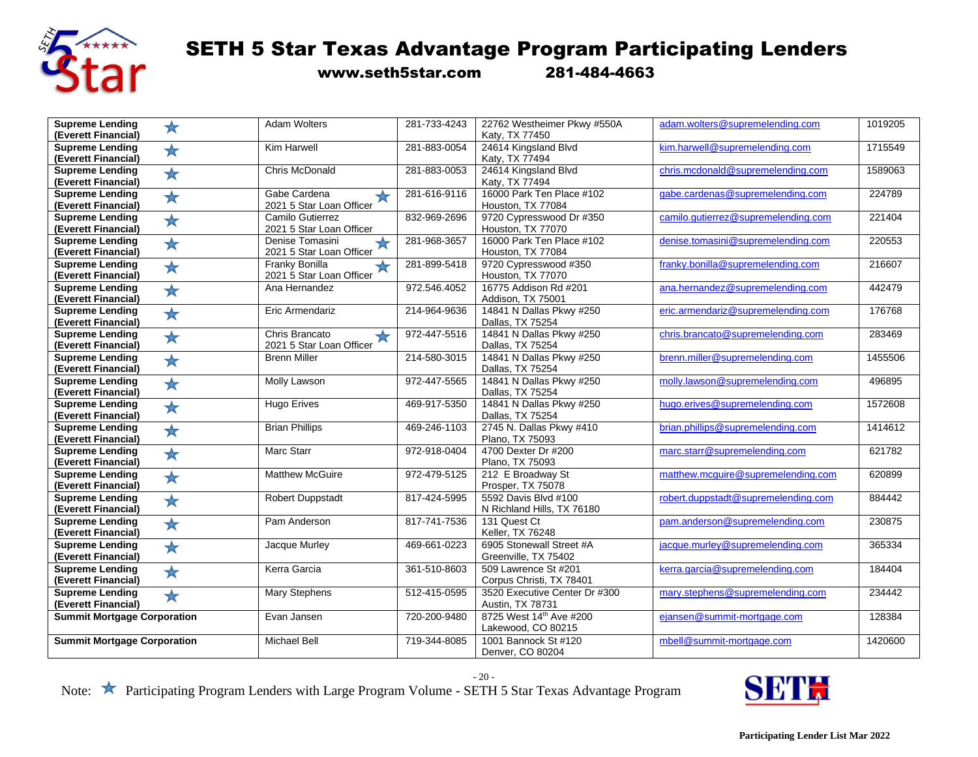

www.seth5star.com 281-484-4663

| <b>Supreme Lending</b><br>★                                 | <b>Adam Wolters</b>                    | 281-733-4243 | 22762 Westheimer Pkwy #550A                  | adam.wolters@supremelending.com     | 1019205 |
|-------------------------------------------------------------|----------------------------------------|--------------|----------------------------------------------|-------------------------------------|---------|
| (Everett Financial)                                         |                                        |              | Katy, TX 77450                               |                                     |         |
| <b>Supreme Lending</b><br>★                                 | Kim Harwell                            | 281-883-0054 | 24614 Kingsland Blvd                         | kim.harwell@supremelending.com      | 1715549 |
| (Everett Financial)                                         |                                        |              | Katy, TX 77494                               |                                     |         |
| <b>Supreme Lending</b><br>$\bigstar$                        | Chris McDonald                         | 281-883-0053 | 24614 Kingsland Blvd                         | chris.mcdonald@supremelending.com   | 1589063 |
| (Everett Financial)                                         |                                        |              | Katy, TX 77494                               |                                     |         |
| <b>Supreme Lending</b><br>★                                 | Gabe Cardena<br>$\bigstar$             | 281-616-9116 | 16000 Park Ten Place #102                    | gabe.cardenas@supremelending.com    | 224789  |
| (Everett Financial)                                         | 2021 5 Star Loan Officer               |              | Houston, TX 77084                            |                                     |         |
| <b>Supreme Lending</b><br>$\bigstar$                        | Camilo Gutierrez                       | 832-969-2696 | 9720 Cypresswood Dr #350                     | camilo.qutierrez@supremelending.com | 221404  |
| (Everett Financial)                                         | 2021 5 Star Loan Officer               |              | Houston, TX 77070                            |                                     |         |
| <b>Supreme Lending</b><br>★                                 | Denise Tomasini<br>★                   | 281-968-3657 | 16000 Park Ten Place #102                    | denise.tomasini@supremelending.com  | 220553  |
| (Everett Financial)                                         | 2021 5 Star Loan Officer               |              | Houston, TX 77084                            |                                     |         |
| <b>Supreme Lending</b>                                      | <b>Franky Bonilla</b>                  | 281-899-5418 | 9720 Cypresswood #350                        | franky.bonilla@supremelending.com   | 216607  |
| $\bigstar$<br>(Everett Financial)                           | 2021 5 Star Loan Officer               |              | Houston, TX 77070                            |                                     |         |
| <b>Supreme Lending</b>                                      | Ana Hernandez                          | 972.546.4052 | 16775 Addison Rd #201                        | ana.hernandez@supremelending.com    | 442479  |
| ★<br>(Everett Financial)                                    |                                        |              | Addison, TX 75001                            |                                     |         |
| <b>Supreme Lending</b>                                      | Eric Armendariz                        | 214-964-9636 | 14841 N Dallas Pkwy #250                     | eric.armendariz@supremelending.com  | 176768  |
| ★<br>(Everett Financial)                                    |                                        |              | Dallas, TX 75254                             |                                     |         |
| <b>Supreme Lending</b>                                      | Chris Brancato                         | 972-447-5516 | 14841 N Dallas Pkwy #250                     | chris.brancato@supremelending.com   | 283469  |
| ★<br>(Everett Financial)                                    | $\bigstar$<br>2021 5 Star Loan Officer |              | Dallas, TX 75254                             |                                     |         |
| <b>Supreme Lending</b>                                      | <b>Brenn Miller</b>                    | 214-580-3015 | 14841 N Dallas Pkwy #250                     | brenn.miller@supremelending.com     | 1455506 |
| $\bigstar$<br>(Everett Financial)                           |                                        |              | Dallas, TX 75254                             |                                     |         |
|                                                             |                                        | 972-447-5565 |                                              | molly.lawson@supremelending.com     | 496895  |
| <b>Supreme Lending</b><br>$\bigstar$<br>(Everett Financial) | Molly Lawson                           |              | 14841 N Dallas Pkwy #250<br>Dallas, TX 75254 |                                     |         |
|                                                             |                                        |              | 14841 N Dallas Pkwy #250                     |                                     |         |
| <b>Supreme Lending</b><br>★                                 | <b>Hugo Erives</b>                     | 469-917-5350 |                                              | hugo.erives@supremelending.com      | 1572608 |
| (Everett Financial)                                         |                                        |              | Dallas, TX 75254                             |                                     | 1414612 |
| <b>Supreme Lending</b><br>★                                 | <b>Brian Phillips</b>                  | 469-246-1103 | 2745 N. Dallas Pkwy #410                     | brian.phillips@supremelending.com   |         |
| (Everett Financial)                                         |                                        |              | Plano, TX 75093                              |                                     |         |
| <b>Supreme Lending</b><br>$\bigstar$                        | <b>Marc Starr</b>                      | 972-918-0404 | 4700 Dexter Dr #200                          | marc.starr@supremelending.com       | 621782  |
| (Everett Financial)                                         |                                        |              | Plano, TX 75093                              |                                     |         |
| <b>Supreme Lending</b><br>★                                 | <b>Matthew McGuire</b>                 | 972-479-5125 | 212 E Broadway St                            | matthew.mcguire@supremelending.com  | 620899  |
| (Everett Financial)                                         |                                        |              | Prosper, TX 75078                            |                                     |         |
| <b>Supreme Lending</b><br>$\bigstar$                        | <b>Robert Duppstadt</b>                | 817-424-5995 | 5592 Davis Blvd #100                         | robert.duppstadt@supremelending.com | 884442  |
| (Everett Financial)                                         |                                        |              | N Richland Hills, TX 76180                   |                                     |         |
| <b>Supreme Lending</b><br>$\bigstar$                        | Pam Anderson                           | 817-741-7536 | 131 Quest Ct                                 | pam.anderson@supremelending.com     | 230875  |
| (Everett Financial)                                         |                                        |              | Keller, TX 76248                             |                                     |         |
| <b>Supreme Lending</b><br>$\bigstar$                        | Jacque Murley                          | 469-661-0223 | 6905 Stonewall Street #A                     | jacque.murley@supremelending.com    | 365334  |
| (Everett Financial)                                         |                                        |              | Greenville, TX 75402                         |                                     |         |
| <b>Supreme Lending</b><br>★                                 | Kerra Garcia                           | 361-510-8603 | 509 Lawrence St #201                         | kerra.garcia@supremelending.com     | 184404  |
| (Everett Financial)                                         |                                        |              | Corpus Christi, TX 78401                     |                                     |         |
| <b>Supreme Lending</b><br>★                                 | Mary Stephens                          | 512-415-0595 | 3520 Executive Center Dr #300                | mary.stephens@supremelending.com    | 234442  |
| (Everett Financial)                                         |                                        |              | Austin, TX 78731                             |                                     |         |
| <b>Summit Mortgage Corporation</b>                          | Evan Jansen                            | 720-200-9480 | 8725 West 14th Ave #200                      | eiansen@summit-mortgage.com         | 128384  |
|                                                             |                                        |              | Lakewood, CO 80215                           |                                     |         |
| <b>Summit Mortgage Corporation</b>                          |                                        |              |                                              |                                     |         |
|                                                             | <b>Michael Bell</b>                    | 719-344-8085 | 1001 Bannock St #120                         | mbell@summit-mortgage.com           | 1420600 |

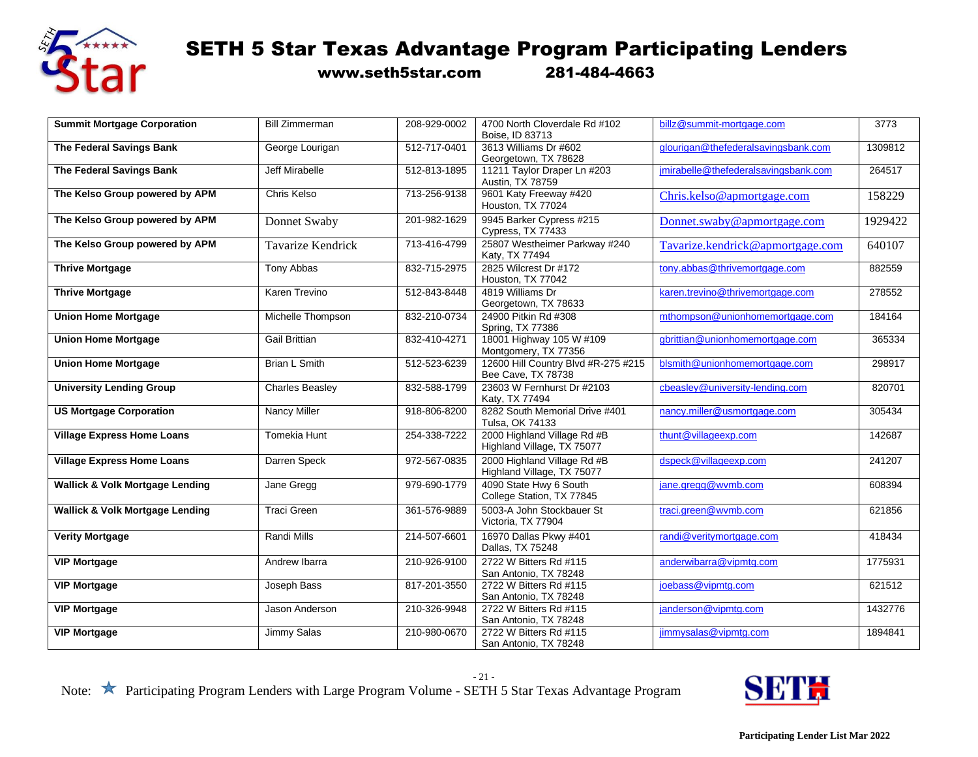

www.seth5star.com 281-484-4663

| <b>Summit Mortgage Corporation</b>         | <b>Bill Zimmerman</b>    | 208-929-0002 | 4700 North Cloverdale Rd #102<br>Boise, ID 83713          | billz@summit-mortgage.com            | 3773    |
|--------------------------------------------|--------------------------|--------------|-----------------------------------------------------------|--------------------------------------|---------|
| The Federal Savings Bank                   | George Lourigan          | 512-717-0401 | 3613 Williams Dr #602                                     | glourigan@thefederalsavingsbank.com  | 1309812 |
|                                            |                          |              | Georgetown, TX 78628                                      |                                      |         |
| The Federal Savings Bank                   | <b>Jeff Mirabelle</b>    | 512-813-1895 | 11211 Taylor Draper Ln #203<br>Austin, TX 78759           | jmirabelle@thefederalsavingsbank.com | 264517  |
| The Kelso Group powered by APM             | Chris Kelso              | 713-256-9138 | 9601 Katy Freeway #420<br>Houston, TX 77024               | Chris.kelso@apmortgage.com           | 158229  |
| The Kelso Group powered by APM             | Donnet Swaby             | 201-982-1629 | 9945 Barker Cypress #215<br>Cypress, TX 77433             | Donnet.swaby@apmortgage.com          | 1929422 |
| The Kelso Group powered by APM             | <b>Tavarize Kendrick</b> | 713-416-4799 | 25807 Westheimer Parkway #240<br>Katy, TX 77494           | Tavarize.kendrick@apmortgage.com     | 640107  |
| <b>Thrive Mortgage</b>                     | <b>Tony Abbas</b>        | 832-715-2975 | 2825 Wilcrest Dr #172<br>Houston, TX 77042                | tony.abbas@thrivemortgage.com        | 882559  |
| <b>Thrive Mortgage</b>                     | Karen Trevino            | 512-843-8448 | 4819 Williams Dr<br>Georgetown, TX 78633                  | karen.trevino@thrivemortgage.com     | 278552  |
| <b>Union Home Mortgage</b>                 | Michelle Thompson        | 832-210-0734 | 24900 Pitkin Rd #308<br>Spring, TX 77386                  | mthompson@unionhomemortgage.com      | 184164  |
| <b>Union Home Mortgage</b>                 | <b>Gail Brittian</b>     | 832-410-4271 | 18001 Highway 105 W #109<br>Montgomery, TX 77356          | gbrittian@unionhomemortgage.com      | 365334  |
| <b>Union Home Mortgage</b>                 | Brian L Smith            | 512-523-6239 | 12600 Hill Country Blvd #R-275 #215<br>Bee Cave, TX 78738 | blsmith@unionhomemortgage.com        | 298917  |
| <b>University Lending Group</b>            | <b>Charles Beasley</b>   | 832-588-1799 | 23603 W Fernhurst Dr #2103<br>Katy, TX 77494              | cbeasley@university-lending.com      | 820701  |
| <b>US Mortgage Corporation</b>             | <b>Nancy Miller</b>      | 918-806-8200 | 8282 South Memorial Drive #401<br>Tulsa, OK 74133         | nancy.miller@usmortgage.com          | 305434  |
| <b>Village Express Home Loans</b>          | <b>Tomekia Hunt</b>      | 254-338-7222 | 2000 Highland Village Rd #B<br>Highland Village, TX 75077 | thunt@villageexp.com                 | 142687  |
| <b>Village Express Home Loans</b>          | Darren Speck             | 972-567-0835 | 2000 Highland Village Rd #B<br>Highland Village, TX 75077 | dspeck@villageexp.com                | 241207  |
| <b>Wallick &amp; Volk Mortgage Lending</b> | Jane Gregg               | 979-690-1779 | 4090 State Hwy 6 South<br>College Station, TX 77845       | jane.gregg@wvmb.com                  | 608394  |
| <b>Wallick &amp; Volk Mortgage Lending</b> | <b>Traci Green</b>       | 361-576-9889 | 5003-A John Stockbauer St<br>Victoria, TX 77904           | traci.green@wvmb.com                 | 621856  |
| <b>Verity Mortgage</b>                     | <b>Randi Mills</b>       | 214-507-6601 | 16970 Dallas Pkwy #401<br>Dallas, TX 75248                | randi@veritymortgage.com             | 418434  |
| <b>VIP Mortgage</b>                        | Andrew Ibarra            | 210-926-9100 | 2722 W Bitters Rd #115<br>San Antonio, TX 78248           | anderwibarra@vipmtg.com              | 1775931 |
| <b>VIP Mortgage</b>                        | Joseph Bass              | 817-201-3550 | 2722 W Bitters Rd #115<br>San Antonio, TX 78248           | joebass@vipmtg.com                   | 621512  |
| <b>VIP Mortgage</b>                        | Jason Anderson           | 210-326-9948 | 2722 W Bitters Rd #115<br>San Antonio, TX 78248           | janderson@vipmtg.com                 | 1432776 |
| <b>VIP Mortgage</b>                        | Jimmy Salas              | 210-980-0670 | 2722 W Bitters Rd #115<br>San Antonio, TX 78248           | jimmysalas@vipmtg.com                | 1894841 |